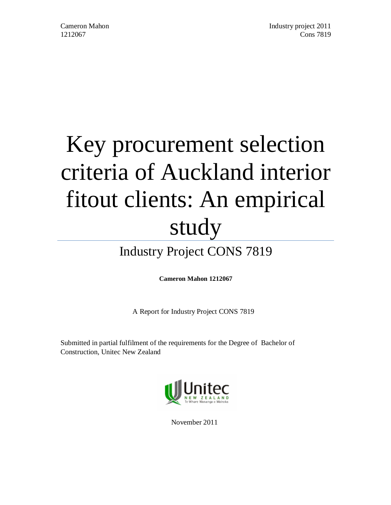# Key procurement selection criteria of Auckland interior fitout clients: An empirical study

# Industry Project CONS 7819

**Cameron Mahon 1212067** 

A Report for Industry Project CONS 7819

Submitted in partial fulfilment of the requirements for the Degree of Bachelor of Construction, Unitec New Zealand



November 2011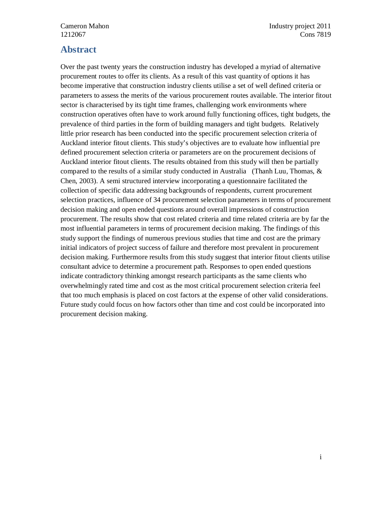# **Abstract**

Over the past twenty years the construction industry has developed a myriad of alternative procurement routes to offer its clients. As a result of this vast quantity of options it has become imperative that construction industry clients utilise a set of well defined criteria or parameters to assess the merits of the various procurement routes available. The interior fitout sector is characterised by its tight time frames, challenging work environments where construction operatives often have to work around fully functioning offices, tight budgets, the prevalence of third parties in the form of building managers and tight budgets. Relatively little prior research has been conducted into the specific procurement selection criteria of Auckland interior fitout clients. This study's objectives are to evaluate how influential pre defined procurement selection criteria or parameters are on the procurement decisions of Auckland interior fitout clients. The results obtained from this study will then be partially compared to the results of a similar study conducted in Australia (Thanh Luu, Thomas, & Chen, 2003). A semi structured interview incorporating a questionnaire facilitated the collection of specific data addressing backgrounds of respondents, current procurement selection practices, influence of 34 procurement selection parameters in terms of procurement decision making and open ended questions around overall impressions of construction procurement. The results show that cost related criteria and time related criteria are by far the most influential parameters in terms of procurement decision making. The findings of this study support the findings of numerous previous studies that time and cost are the primary initial indicators of project success of failure and therefore most prevalent in procurement decision making. Furthermore results from this study suggest that interior fitout clients utilise consultant advice to determine a procurement path. Responses to open ended questions indicate contradictory thinking amongst research participants as the same clients who overwhelmingly rated time and cost as the most critical procurement selection criteria feel that too much emphasis is placed on cost factors at the expense of other valid considerations. Future study could focus on how factors other than time and cost could be incorporated into procurement decision making.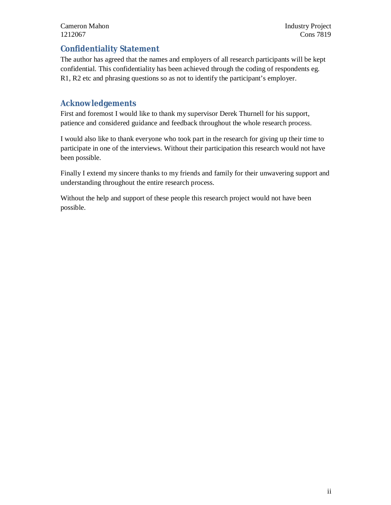Cameron Mahon **Industry Project Cameron Mahon** 1212067 Cons 7819

# **Confidentiality Statement**

The author has agreed that the names and employers of all research participants will be kept confidential. This confidentiality has been achieved through the coding of respondents eg. R1, R2 etc and phrasing questions so as not to identify the participant's employer.

# **Acknowledgements**

First and foremost I would like to thank my supervisor Derek Thurnell for his support, patience and considered guidance and feedback throughout the whole research process.

I would also like to thank everyone who took part in the research for giving up their time to participate in one of the interviews. Without their participation this research would not have been possible.

Finally I extend my sincere thanks to my friends and family for their unwavering support and understanding throughout the entire research process.

Without the help and support of these people this research project would not have been possible.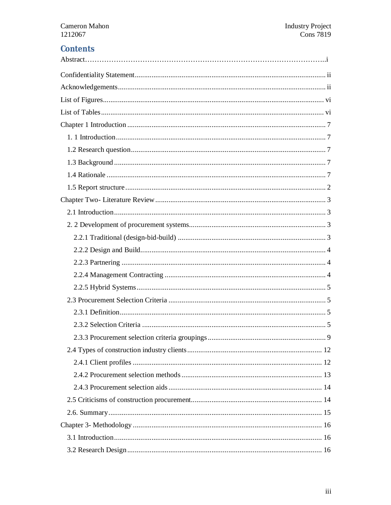# **Contents**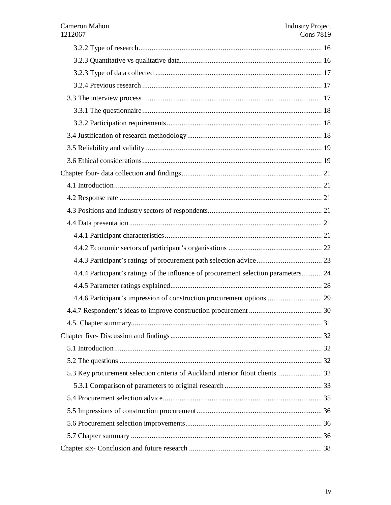| 4.4.4 Participant's ratings of the influence of procurement selection parameters 24 |  |
|-------------------------------------------------------------------------------------|--|
|                                                                                     |  |
|                                                                                     |  |
|                                                                                     |  |
|                                                                                     |  |
|                                                                                     |  |
|                                                                                     |  |
|                                                                                     |  |
| 5.3 Key procurement selection criteria of Auckland interior fitout clients 32       |  |
|                                                                                     |  |
|                                                                                     |  |
|                                                                                     |  |
|                                                                                     |  |
|                                                                                     |  |
|                                                                                     |  |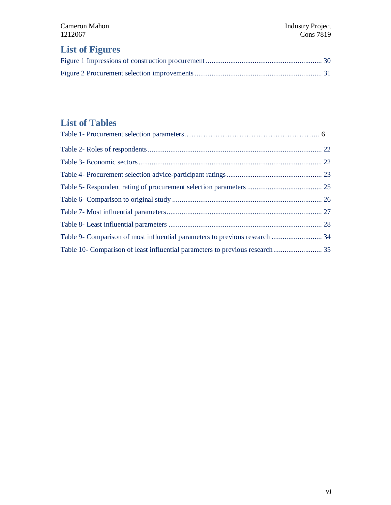# **List of Figures**

# **List of Tables**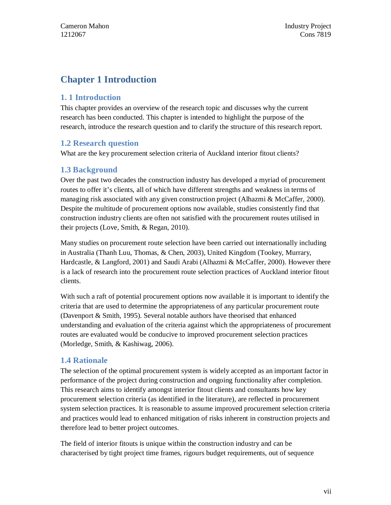# **Chapter 1 Introduction**

#### **1. 1 Introduction**

This chapter provides an overview of the research topic and discusses why the current research has been conducted. This chapter is intended to highlight the purpose of the research, introduce the research question and to clarify the structure of this research report.

#### **1.2 Research question**

What are the key procurement selection criteria of Auckland interior fitout clients?

#### **1.3 Background**

Over the past two decades the construction industry has developed a myriad of procurement routes to offer it's clients, all of which have different strengths and weakness in terms of managing risk associated with any given construction project (Alhazmi & McCaffer, 2000). Despite the multitude of procurement options now available, studies consistently find that construction industry clients are often not satisfied with the procurement routes utilised in their projects (Love, Smith, & Regan, 2010).

Many studies on procurement route selection have been carried out internationally including in Australia (Thanh Luu, Thomas, & Chen, 2003), United Kingdom (Tookey, Murrary, Hardcastle, & Langford, 2001) and Saudi Arabi (Alhazmi & McCaffer, 2000). However there is a lack of research into the procurement route selection practices of Auckland interior fitout clients.

With such a raft of potential procurement options now available it is important to identify the criteria that are used to determine the appropriateness of any particular procurement route (Davenport & Smith, 1995). Several notable authors have theorised that enhanced understanding and evaluation of the criteria against which the appropriateness of procurement routes are evaluated would be conducive to improved procurement selection practices (Morledge, Smith, & Kashiwag, 2006).

#### **1.4 Rationale**

The selection of the optimal procurement system is widely accepted as an important factor in performance of the project during construction and ongoing functionality after completion. This research aims to identify amongst interior fitout clients and consultants how key procurement selection criteria (as identified in the literature), are reflected in procurement system selection practices. It is reasonable to assume improved procurement selection criteria and practices would lead to enhanced mitigation of risks inherent in construction projects and therefore lead to better project outcomes.

The field of interior fitouts is unique within the construction industry and can be characterised by tight project time frames, rigours budget requirements, out of sequence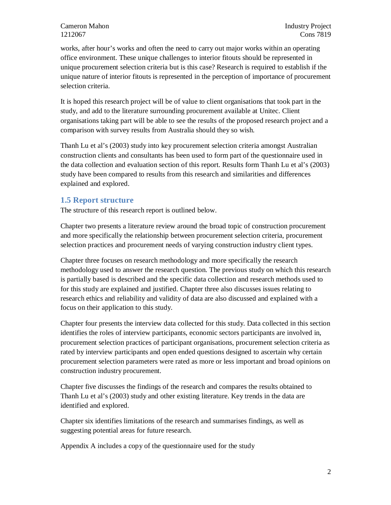works, after hour's works and often the need to carry out major works within an operating office environment. These unique challenges to interior fitouts should be represented in unique procurement selection criteria but is this case? Research is required to establish if the unique nature of interior fitouts is represented in the perception of importance of procurement selection criteria.

It is hoped this research project will be of value to client organisations that took part in the study, and add to the literature surrounding procurement available at Unitec. Client organisations taking part will be able to see the results of the proposed research project and a comparison with survey results from Australia should they so wish.

Thanh Lu et al's (2003) study into key procurement selection criteria amongst Australian construction clients and consultants has been used to form part of the questionnaire used in the data collection and evaluation section of this report. Results form Thanh Lu et al's (2003) study have been compared to results from this research and similarities and differences explained and explored.

#### **1.5 Report structure**

The structure of this research report is outlined below.

Chapter two presents a literature review around the broad topic of construction procurement and more specifically the relationship between procurement selection criteria, procurement selection practices and procurement needs of varying construction industry client types.

Chapter three focuses on research methodology and more specifically the research methodology used to answer the research question. The previous study on which this research is partially based is described and the specific data collection and research methods used to for this study are explained and justified. Chapter three also discusses issues relating to research ethics and reliability and validity of data are also discussed and explained with a focus on their application to this study.

Chapter four presents the interview data collected for this study. Data collected in this section identifies the roles of interview participants, economic sectors participants are involved in, procurement selection practices of participant organisations, procurement selection criteria as rated by interview participants and open ended questions designed to ascertain why certain procurement selection parameters were rated as more or less important and broad opinions on construction industry procurement.

Chapter five discusses the findings of the research and compares the results obtained to Thanh Lu et al's (2003) study and other existing literature. Key trends in the data are identified and explored.

Chapter six identifies limitations of the research and summarises findings, as well as suggesting potential areas for future research.

Appendix A includes a copy of the questionnaire used for the study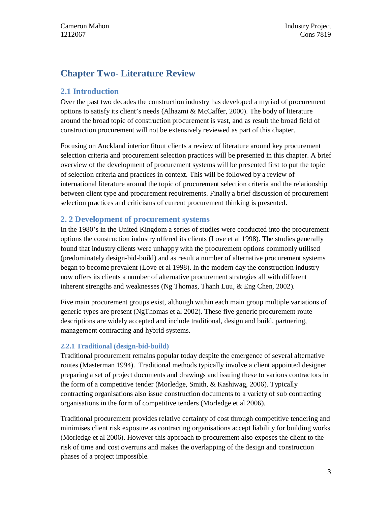# **Chapter Two- Literature Review**

#### **2.1 Introduction**

Over the past two decades the construction industry has developed a myriad of procurement options to satisfy its client's needs (Alhazmi & McCaffer, 2000). The body of literature around the broad topic of construction procurement is vast, and as result the broad field of construction procurement will not be extensively reviewed as part of this chapter.

Focusing on Auckland interior fitout clients a review of literature around key procurement selection criteria and procurement selection practices will be presented in this chapter. A brief overview of the development of procurement systems will be presented first to put the topic of selection criteria and practices in context. This will be followed by a review of international literature around the topic of procurement selection criteria and the relationship between client type and procurement requirements. Finally a brief discussion of procurement selection practices and criticisms of current procurement thinking is presented.

#### **2. 2 Development of procurement systems**

In the 1980's in the United Kingdom a series of studies were conducted into the procurement options the construction industry offered its clients (Love et al 1998). The studies generally found that industry clients were unhappy with the procurement options commonly utilised (predominately design-bid-build) and as result a number of alternative procurement systems began to become prevalent (Love et al 1998). In the modern day the construction industry now offers its clients a number of alternative procurement strategies all with different inherent strengths and weaknesses (Ng Thomas, Thanh Luu, & Eng Chen, 2002).

Five main procurement groups exist, although within each main group multiple variations of generic types are present (NgThomas et al 2002). These five generic procurement route descriptions are widely accepted and include traditional, design and build, partnering, management contracting and hybrid systems.

#### **2.2.1 Traditional (design-bid-build)**

Traditional procurement remains popular today despite the emergence of several alternative routes (Masterman 1994). Traditional methods typically involve a client appointed designer preparing a set of project documents and drawings and issuing these to various contractors in the form of a competitive tender (Morledge, Smith, & Kashiwag, 2006). Typically contracting organisations also issue construction documents to a variety of sub contracting organisations in the form of competitive tenders (Morledge et al 2006).

Traditional procurement provides relative certainty of cost through competitive tendering and minimises client risk exposure as contracting organisations accept liability for building works (Morledge et al 2006). However this approach to procurement also exposes the client to the risk of time and cost overruns and makes the overlapping of the design and construction phases of a project impossible.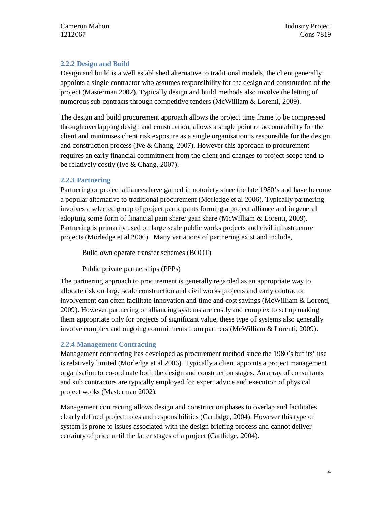#### **2.2.2 Design and Build**

Design and build is a well established alternative to traditional models, the client generally appoints a single contractor who assumes responsibility for the design and construction of the project (Masterman 2002). Typically design and build methods also involve the letting of numerous sub contracts through competitive tenders (McWilliam & Lorenti, 2009).

The design and build procurement approach allows the project time frame to be compressed through overlapping design and construction, allows a single point of accountability for the client and minimises client risk exposure as a single organisation is responsible for the design and construction process (Ive & Chang, 2007). However this approach to procurement requires an early financial commitment from the client and changes to project scope tend to be relatively costly (Ive & Chang, 2007).

#### **2.2.3 Partnering**

Partnering or project alliances have gained in notoriety since the late 1980's and have become a popular alternative to traditional procurement (Morledge et al 2006). Typically partnering involves a selected group of project participants forming a project alliance and in general adopting some form of financial pain share/ gain share (McWilliam & Lorenti, 2009). Partnering is primarily used on large scale public works projects and civil infrastructure projects (Morledge et al 2006). Many variations of partnering exist and include,

Build own operate transfer schemes (BOOT)

Public private partnerships (PPPs)

The partnering approach to procurement is generally regarded as an appropriate way to allocate risk on large scale construction and civil works projects and early contractor involvement can often facilitate innovation and time and cost savings (McWilliam & Lorenti, 2009). However partnering or alliancing systems are costly and complex to set up making them appropriate only for projects of significant value, these type of systems also generally involve complex and ongoing commitments from partners (McWilliam & Lorenti, 2009).

#### **2.2.4 Management Contracting**

Management contracting has developed as procurement method since the 1980's but its' use is relatively limited (Morledge et al 2006). Typically a client appoints a project management organisation to co-ordinate both the design and construction stages. An array of consultants and sub contractors are typically employed for expert advice and execution of physical project works (Masterman 2002).

Management contracting allows design and construction phases to overlap and facilitates clearly defined project roles and responsibilities (Cartlidge, 2004). However this type of system is prone to issues associated with the design briefing process and cannot deliver certainty of price until the latter stages of a project (Cartlidge, 2004).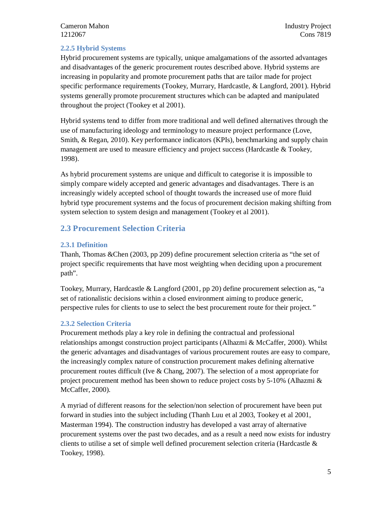#### **2.2.5 Hybrid Systems**

Hybrid procurement systems are typically, unique amalgamations of the assorted advantages and disadvantages of the generic procurement routes described above. Hybrid systems are increasing in popularity and promote procurement paths that are tailor made for project specific performance requirements (Tookey, Murrary, Hardcastle, & Langford, 2001). Hybrid systems generally promote procurement structures which can be adapted and manipulated throughout the project (Tookey et al 2001).

Hybrid systems tend to differ from more traditional and well defined alternatives through the use of manufacturing ideology and terminology to measure project performance (Love, Smith, & Regan, 2010). Key performance indicators (KPIs), benchmarking and supply chain management are used to measure efficiency and project success (Hardcastle & Tookey, 1998).

As hybrid procurement systems are unique and difficult to categorise it is impossible to simply compare widely accepted and generic advantages and disadvantages. There is an increasingly widely accepted school of thought towards the increased use of more fluid hybrid type procurement systems and the focus of procurement decision making shifting from system selection to system design and management (Tookey et al 2001).

## **2.3 Procurement Selection Criteria**

#### **2.3.1 Definition**

Thanh, Thomas &Chen (2003, pp 209) define procurement selection criteria as "the set of project specific requirements that have most weighting when deciding upon a procurement path".

Tookey, Murrary, Hardcastle & Langford (2001, pp 20) define procurement selection as, "a set of rationalistic decisions within a closed environment aiming to produce generic, perspective rules for clients to use to select the best procurement route for their project*."* 

#### **2.3.2 Selection Criteria**

Procurement methods play a key role in defining the contractual and professional relationships amongst construction project participants (Alhazmi & McCaffer, 2000). Whilst the generic advantages and disadvantages of various procurement routes are easy to compare, the increasingly complex nature of construction procurement makes defining alternative procurement routes difficult (Ive & Chang, 2007). The selection of a most appropriate for project procurement method has been shown to reduce project costs by 5-10% (Alhazmi & McCaffer, 2000).

A myriad of different reasons for the selection/non selection of procurement have been put forward in studies into the subject including (Thanh Luu et al 2003, Tookey et al 2001, Masterman 1994). The construction industry has developed a vast array of alternative procurement systems over the past two decades, and as a result a need now exists for industry clients to utilise a set of simple well defined procurement selection criteria (Hardcastle & Tookey, 1998).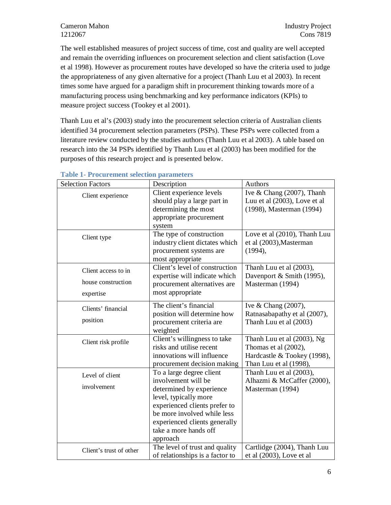#### Cameron Mahon Industry Project 1212067 Cons 7819

The well established measures of project success of time, cost and quality are well accepted and remain the overriding influences on procurement selection and client satisfaction (Love et al 1998). However as procurement routes have developed so have the criteria used to judge the appropriateness of any given alternative for a project (Thanh Luu et al 2003). In recent times some have argued for a paradigm shift in procurement thinking towards more of a manufacturing process using benchmarking and key performance indicators (KPIs) to measure project success (Tookey et al 2001).

Thanh Luu et al's (2003) study into the procurement selection criteria of Australian clients identified 34 procurement selection parameters (PSPs). These PSPs were collected from a literature review conducted by the studies authors (Thanh Luu et al 2003). A table based on research into the 34 PSPs identified by Thanh Luu et al (2003) has been modified for the purposes of this research project and is presented below.

| <b>Selection Factors</b> | Description                                             | Authors                                                      |
|--------------------------|---------------------------------------------------------|--------------------------------------------------------------|
| Client experience        | Client experience levels<br>should play a large part in | Ive & Chang $(2007)$ , Thanh<br>Luu et al (2003), Love et al |
|                          | determining the most                                    | (1998), Masterman (1994)                                     |
|                          | appropriate procurement                                 |                                                              |
|                          | system                                                  |                                                              |
| Client type              | The type of construction                                | Love et al (2010), Thanh Luu                                 |
|                          | industry client dictates which                          | et al (2003), Masterman                                      |
|                          | procurement systems are                                 | (1994),                                                      |
|                          | most appropriate<br>Client's level of construction      | Thanh Luu et al (2003),                                      |
| Client access to in      | expertise will indicate which                           | Davenport & Smith (1995),                                    |
| house construction       | procurement alternatives are                            | Masterman (1994)                                             |
| expertise                | most appropriate                                        |                                                              |
|                          |                                                         |                                                              |
| Clients' financial       | The client's financial                                  | Ive & Chang (2007),                                          |
| position                 | position will determine how<br>procurement criteria are | Ratnasabapathy et al (2007),<br>Thanh Luu et al (2003)       |
|                          | weighted                                                |                                                              |
|                          | Client's willingness to take                            | Thanh Luu et al (2003), Ng                                   |
| Client risk profile      | risks and utilise recent                                | Thomas et al (2002),                                         |
|                          | innovations will influence                              | Hardcastle & Tookey (1998),                                  |
|                          | procurement decision making                             | Than Luu et al (1998),                                       |
| Level of client          | To a large degree client                                | Thanh Luu et al (2003),                                      |
|                          | involvement will be                                     | Alhazmi & McCaffer (2000),                                   |
| involvement              | determined by experience                                | Masterman (1994)                                             |
|                          | level, typically more                                   |                                                              |
|                          | experienced clients prefer to                           |                                                              |
|                          | be more involved while less                             |                                                              |
|                          | experienced clients generally<br>take a more hands off  |                                                              |
|                          | approach                                                |                                                              |
|                          | The level of trust and quality                          | Cartlidge (2004), Thanh Luu                                  |
| Client's trust of other  | of relationships is a factor to                         | et al (2003), Love et al                                     |

#### **Table 1- Procurement selection parameters**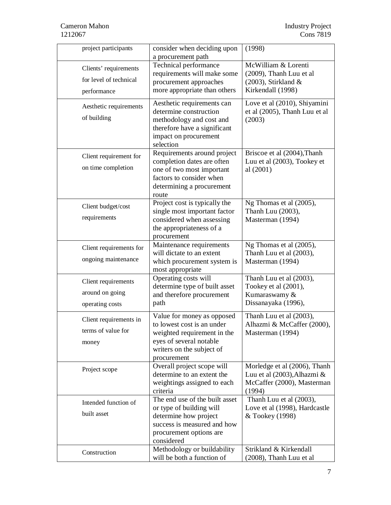| project participants                                           | consider when deciding upon<br>a procurement path                                                                                                              | (1998)                                                                                              |
|----------------------------------------------------------------|----------------------------------------------------------------------------------------------------------------------------------------------------------------|-----------------------------------------------------------------------------------------------------|
| Clients' requirements<br>for level of technical<br>performance | Technical performance<br>requirements will make some<br>procurement approaches<br>more appropriate than others                                                 | McWilliam & Lorenti<br>(2009), Thanh Luu et al<br>$(2003)$ , Stirkland &<br>Kirkendall (1998)       |
| Aesthetic requirements<br>of building                          | Aesthetic requirements can<br>determine construction<br>methodology and cost and<br>therefore have a significant<br>impact on procurement<br>selection         | Love et al (2010), Shiyamini<br>et al (2005), Thanh Luu et al<br>(2003)                             |
| Client requirement for<br>on time completion                   | Requirements around project<br>completion dates are often<br>one of two most important<br>factors to consider when<br>determining a procurement<br>route       | Briscoe et al (2004), Thanh<br>Luu et al (2003), Tookey et<br>al (2001)                             |
| Client budget/cost<br>requirements                             | Project cost is typically the<br>single most important factor<br>considered when assessing<br>the appropriateness of a<br>procurement                          | Ng Thomas et al (2005),<br>Thanh Luu (2003),<br>Masterman (1994)                                    |
| Client requirements for<br>ongoing maintenance                 | Maintenance requirements<br>will dictate to an extent<br>which procurement system is<br>most appropriate                                                       | Ng Thomas et al (2005),<br>Thanh Luu et al (2003),<br>Masterman (1994)                              |
| Client requirements<br>around on going<br>operating costs      | Operating costs will<br>determine type of built asset<br>and therefore procurement<br>path                                                                     | Thanh Luu et al (2003),<br>Tookey et al (2001),<br>Kumaraswamy &<br>Dissanayaka (1996),             |
| Client requirements in<br>terms of value for<br>money          | Value for money as opposed<br>to lowest cost is an under<br>weighted requirement in the<br>eyes of several notable<br>writers on the subject of<br>procurement | Thanh Luu et al (2003),<br>Alhazmi & McCaffer (2000),<br>Masterman (1994)                           |
| Project scope                                                  | Overall project scope will<br>determine to an extent the<br>weightings assigned to each<br>criteria                                                            | Morledge et al (2006), Thanh<br>Luu et al (2003), Alhazmi &<br>McCaffer (2000), Masterman<br>(1994) |
| Intended function of<br>built asset                            | The end use of the built asset<br>or type of building will<br>determine how project<br>success is measured and how<br>procurement options are<br>considered    | Thanh Luu et al (2003),<br>Love et al (1998), Hardcastle<br>& Tookey (1998)                         |
| Construction                                                   | Methodology or buildability<br>will be both a function of                                                                                                      | Strikland & Kirkendall<br>(2008), Thanh Luu et al                                                   |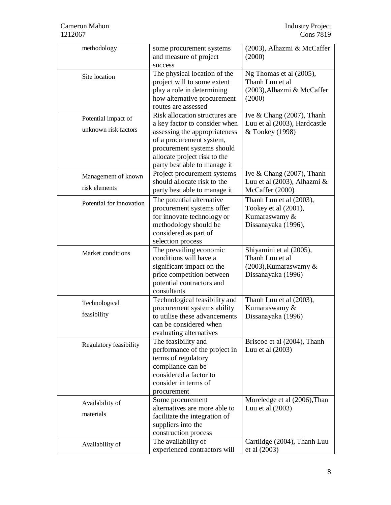| methodology                                 | some procurement systems<br>and measure of project                                                                                                                                                                         | (2003), Alhazmi & McCaffer<br>(2000)                                                         |  |  |  |
|---------------------------------------------|----------------------------------------------------------------------------------------------------------------------------------------------------------------------------------------------------------------------------|----------------------------------------------------------------------------------------------|--|--|--|
| Site location                               | success<br>The physical location of the<br>project will to some extent<br>play a role in determining<br>how alternative procurement<br>routes are assessed                                                                 | Ng Thomas et al (2005),<br>Thanh Luu et al<br>(2003), Alhazmi & McCaffer<br>(2000)           |  |  |  |
| Potential impact of<br>unknown risk factors | Risk allocation structures are<br>a key factor to consider when<br>assessing the appropriateness<br>of a procurement system,<br>procurement systems should<br>allocate project risk to the<br>party best able to manage it | Ive & Chang $(2007)$ , Thanh<br>Luu et al (2003), Hardcastle<br>& Tookey (1998)              |  |  |  |
| Management of known<br>risk elements        | Project procurement systems<br>should allocate risk to the<br>party best able to manage it                                                                                                                                 | Ive & Chang $(2007)$ , Thanh<br>Luu et al (2003), Alhazmi &<br>McCaffer (2000)               |  |  |  |
| Potential for innovation                    | The potential alternative<br>procurement systems offer<br>for innovate technology or<br>methodology should be<br>considered as part of<br>selection process                                                                | Thanh Luu et al (2003),<br>Tookey et al (2001),<br>Kumaraswamy &<br>Dissanayaka (1996),      |  |  |  |
| Market conditions                           | The prevailing economic<br>conditions will have a<br>significant impact on the<br>price competition between<br>potential contractors and<br>consultants                                                                    | Shiyamini et al (2005),<br>Thanh Luu et al<br>$(2003)$ , Kumaraswamy &<br>Dissanayaka (1996) |  |  |  |
| Technological<br>feasibility                | Technological feasibility and<br>procurement systems ability<br>to utilise these advancements<br>can be considered when<br>evaluating alternatives                                                                         | Thanh Luu et al (2003),<br>Kumaraswamy &<br>Dissanayaka (1996)                               |  |  |  |
| Regulatory feasibility                      | The feasibility and<br>performance of the project in<br>terms of regulatory<br>compliance can be<br>considered a factor to<br>consider in terms of<br>procurement                                                          | Briscoe et al (2004), Thanh<br>Luu et al $(2003)$                                            |  |  |  |
| Availability of<br>materials                | Some procurement<br>alternatives are more able to<br>facilitate the integration of<br>suppliers into the<br>construction process                                                                                           | Moreledge et al (2006), Than<br>Luu et al $(2003)$                                           |  |  |  |
| Availability of                             | The availability of<br>experienced contractors will                                                                                                                                                                        | Cartlidge (2004), Thanh Luu<br>et al (2003)                                                  |  |  |  |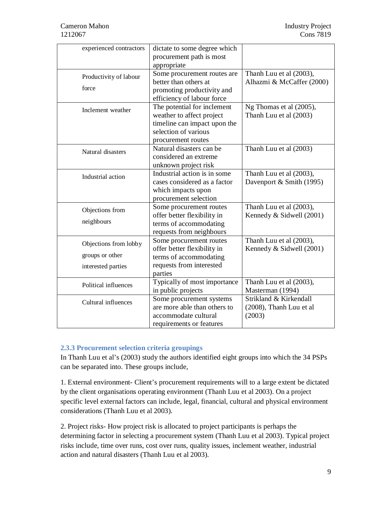| experienced contractors | dictate to some degree which |                           |
|-------------------------|------------------------------|---------------------------|
|                         | procurement path is most     |                           |
|                         | appropriate                  |                           |
| Productivity of labour  | Some procurement routes are  | Thanh Luu et al (2003),   |
|                         | better than others at        | Alhazmi & McCaffer (2000) |
| force                   | promoting productivity and   |                           |
|                         | efficiency of labour force   |                           |
| Inclement weather       | The potential for inclement  | Ng Thomas et al (2005),   |
|                         | weather to affect project    | Thanh Luu et al (2003)    |
|                         | timeline can impact upon the |                           |
|                         | selection of various         |                           |
|                         | procurement routes           |                           |
| Natural disasters       | Natural disasters can be     | Thanh Luu et al (2003)    |
|                         | considered an extreme        |                           |
|                         | unknown project risk         |                           |
| Industrial action       | Industrial action is in some | Thanh Luu et al (2003),   |
|                         | cases considered as a factor | Davenport & Smith (1995)  |
|                         | which impacts upon           |                           |
|                         | procurement selection        |                           |
| Objections from         | Some procurement routes      | Thanh Luu et al (2003),   |
|                         | offer better flexibility in  | Kennedy & Sidwell (2001)  |
| neighbours              | terms of accommodating       |                           |
|                         | requests from neighbours     |                           |
| Objections from lobby   | Some procurement routes      | Thanh Luu et al (2003),   |
|                         | offer better flexibility in  | Kennedy & Sidwell (2001)  |
| groups or other         | terms of accommodating       |                           |
| interested parties      | requests from interested     |                           |
|                         | parties                      |                           |
| Political influences    | Typically of most importance | Thanh Luu et al (2003),   |
|                         | in public projects           | Masterman (1994)          |
| Cultural influences     | Some procurement systems     | Strikland & Kirkendall    |
|                         | are more able than others to | (2008), Thanh Luu et al   |
|                         | accommodate cultural         | (2003)                    |
|                         | requirements or features     |                           |

#### **2.3.3 Procurement selection criteria groupings**

In Thanh Luu et al's (2003) study the authors identified eight groups into which the 34 PSPs can be separated into. These groups include,

1. External environment- Client's procurement requirements will to a large extent be dictated by the client organisations operating environment (Thanh Luu et al 2003). On a project specific level external factors can include, legal, financial, cultural and physical environment considerations (Thanh Luu et al 2003).

2. Project risks- How project risk is allocated to project participants is perhaps the determining factor in selecting a procurement system (Thanh Luu et al 2003). Typical project risks include, time over runs, cost over runs, quality issues, inclement weather, industrial action and natural disasters (Thanh Luu et al 2003).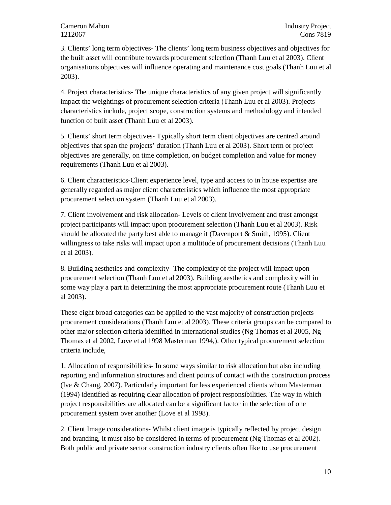3. Clients' long term objectives- The clients' long term business objectives and objectives for the built asset will contribute towards procurement selection (Thanh Luu et al 2003). Client organisations objectives will influence operating and maintenance cost goals (Thanh Luu et al 2003).

4. Project characteristics- The unique characteristics of any given project will significantly impact the weightings of procurement selection criteria (Thanh Luu et al 2003). Projects characteristics include, project scope, construction systems and methodology and intended function of built asset (Thanh Luu et al 2003).

5. Clients' short term objectives- Typically short term client objectives are centred around objectives that span the projects' duration (Thanh Luu et al 2003). Short term or project objectives are generally, on time completion, on budget completion and value for money requirements (Thanh Luu et al 2003).

6. Client characteristics-Client experience level, type and access to in house expertise are generally regarded as major client characteristics which influence the most appropriate procurement selection system (Thanh Luu et al 2003).

7. Client involvement and risk allocation- Levels of client involvement and trust amongst project participants will impact upon procurement selection (Thanh Luu et al 2003). Risk should be allocated the party best able to manage it (Davenport & Smith, 1995). Client willingness to take risks will impact upon a multitude of procurement decisions (Thanh Luu et al 2003).

8. Building aesthetics and complexity- The complexity of the project will impact upon procurement selection (Thanh Luu et al 2003). Building aesthetics and complexity will in some way play a part in determining the most appropriate procurement route (Thanh Luu et al 2003).

These eight broad categories can be applied to the vast majority of construction projects procurement considerations (Thanh Luu et al 2003). These criteria groups can be compared to other major selection criteria identified in international studies (Ng Thomas et al 2005, Ng Thomas et al 2002, Love et al 1998 Masterman 1994,). Other typical procurement selection criteria include,

1. Allocation of responsibilities- In some ways similar to risk allocation but also including reporting and information structures and client points of contact with the construction process (Ive & Chang, 2007). Particularly important for less experienced clients whom Masterman (1994) identified as requiring clear allocation of project responsibilities. The way in which project responsibilities are allocated can be a significant factor in the selection of one procurement system over another (Love et al 1998).

2. Client Image considerations- Whilst client image is typically reflected by project design and branding, it must also be considered in terms of procurement (Ng Thomas et al 2002). Both public and private sector construction industry clients often like to use procurement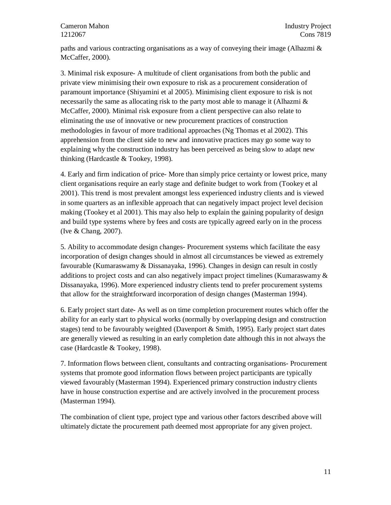paths and various contracting organisations as a way of conveying their image (Alhazmi & McCaffer, 2000).

3. Minimal risk exposure- A multitude of client organisations from both the public and private view minimising their own exposure to risk as a procurement consideration of paramount importance (Shiyamini et al 2005). Minimising client exposure to risk is not necessarily the same as allocating risk to the party most able to manage it (Alhazmi & McCaffer, 2000). Minimal risk exposure from a client perspective can also relate to eliminating the use of innovative or new procurement practices of construction methodologies in favour of more traditional approaches (Ng Thomas et al 2002). This apprehension from the client side to new and innovative practices may go some way to explaining why the construction industry has been perceived as being slow to adapt new thinking (Hardcastle & Tookey, 1998).

4. Early and firm indication of price- More than simply price certainty or lowest price, many client organisations require an early stage and definite budget to work from (Tookey et al 2001). This trend is most prevalent amongst less experienced industry clients and is viewed in some quarters as an inflexible approach that can negatively impact project level decision making (Tookey et al 2001). This may also help to explain the gaining popularity of design and build type systems where by fees and costs are typically agreed early on in the process (Ive & Chang, 2007).

5. Ability to accommodate design changes- Procurement systems which facilitate the easy incorporation of design changes should in almost all circumstances be viewed as extremely favourable (Kumaraswamy & Dissanayaka, 1996). Changes in design can result in costly additions to project costs and can also negatively impact project timelines (Kumaraswamy & Dissanayaka, 1996). More experienced industry clients tend to prefer procurement systems that allow for the straightforward incorporation of design changes (Masterman 1994).

6. Early project start date- As well as on time completion procurement routes which offer the ability for an early start to physical works (normally by overlapping design and construction stages) tend to be favourably weighted (Davenport & Smith, 1995). Early project start dates are generally viewed as resulting in an early completion date although this in not always the case (Hardcastle & Tookey, 1998).

7. Information flows between client, consultants and contracting organisations- Procurement systems that promote good information flows between project participants are typically viewed favourably (Masterman 1994). Experienced primary construction industry clients have in house construction expertise and are actively involved in the procurement process (Masterman 1994).

The combination of client type, project type and various other factors described above will ultimately dictate the procurement path deemed most appropriate for any given project.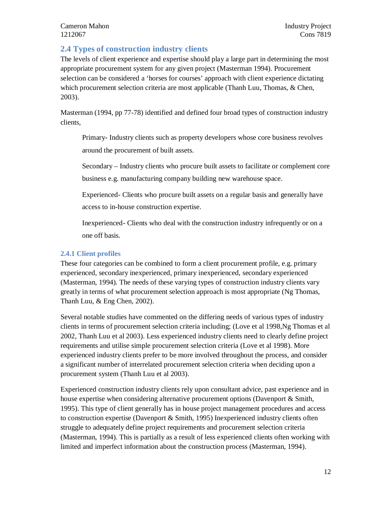#### **2.4 Types of construction industry clients**

The levels of client experience and expertise should play a large part in determining the most appropriate procurement system for any given project (Masterman 1994). Procurement selection can be considered a 'horses for courses' approach with client experience dictating which procurement selection criteria are most applicable (Thanh Luu, Thomas, & Chen, 2003).

Masterman (1994, pp 77-78) identified and defined four broad types of construction industry clients,

Primary- Industry clients such as property developers whose core business revolves around the procurement of built assets.

Secondary – Industry clients who procure built assets to facilitate or complement core business e.g. manufacturing company building new warehouse space.

Experienced- Clients who procure built assets on a regular basis and generally have access to in-house construction expertise.

Inexperienced- Clients who deal with the construction industry infrequently or on a one off basis.

#### **2.4.1 Client profiles**

These four categories can be combined to form a client procurement profile, e.g. primary experienced, secondary inexperienced, primary inexperienced, secondary experienced (Masterman, 1994). The needs of these varying types of construction industry clients vary greatly in terms of what procurement selection approach is most appropriate (Ng Thomas, Thanh Luu, & Eng Chen, 2002).

Several notable studies have commented on the differing needs of various types of industry clients in terms of procurement selection criteria including; (Love et al 1998,Ng Thomas et al 2002, Thanh Luu et al 2003). Less experienced industry clients need to clearly define project requirements and utilise simple procurement selection criteria (Love et al 1998). More experienced industry clients prefer to be more involved throughout the process, and consider a significant number of interrelated procurement selection criteria when deciding upon a procurement system (Thanh Luu et al 2003).

Experienced construction industry clients rely upon consultant advice, past experience and in house expertise when considering alternative procurement options (Davenport & Smith, 1995). This type of client generally has in house project management procedures and access to construction expertise (Davenport & Smith, 1995) Inexperienced industry clients often struggle to adequately define project requirements and procurement selection criteria (Masterman, 1994). This is partially as a result of less experienced clients often working with limited and imperfect information about the construction process (Masterman, 1994).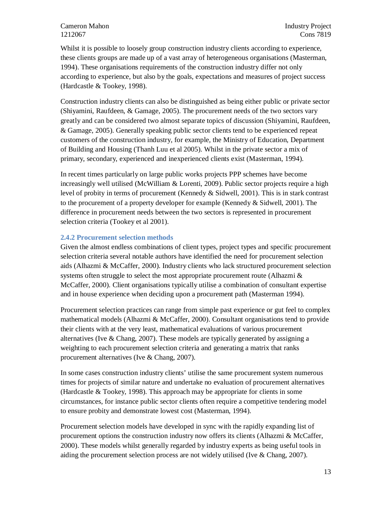Whilst it is possible to loosely group construction industry clients according to experience, these clients groups are made up of a vast array of heterogeneous organisations (Masterman, 1994). These organisations requirements of the construction industry differ not only according to experience, but also by the goals, expectations and measures of project success (Hardcastle & Tookey, 1998).

Construction industry clients can also be distinguished as being either public or private sector (Shiyamini, Raufdeen, & Gamage, 2005). The procurement needs of the two sectors vary greatly and can be considered two almost separate topics of discussion (Shiyamini, Raufdeen, & Gamage, 2005). Generally speaking public sector clients tend to be experienced repeat customers of the construction industry, for example, the Ministry of Education, Department of Building and Housing (Thanh Luu et al 2005). Whilst in the private sector a mix of primary, secondary, experienced and inexperienced clients exist (Masterman, 1994).

In recent times particularly on large public works projects PPP schemes have become increasingly well utilised (McWilliam & Lorenti, 2009). Public sector projects require a high level of probity in terms of procurement (Kennedy & Sidwell, 2001). This is in stark contrast to the procurement of a property developer for example (Kennedy & Sidwell, 2001). The difference in procurement needs between the two sectors is represented in procurement selection criteria (Tookey et al 2001).

#### **2.4.2 Procurement selection methods**

Given the almost endless combinations of client types, project types and specific procurement selection criteria several notable authors have identified the need for procurement selection aids (Alhazmi & McCaffer, 2000). Industry clients who lack structured procurement selection systems often struggle to select the most appropriate procurement route (Alhazmi & McCaffer, 2000). Client organisations typically utilise a combination of consultant expertise and in house experience when deciding upon a procurement path (Masterman 1994).

Procurement selection practices can range from simple past experience or gut feel to complex mathematical models (Alhazmi & McCaffer, 2000). Consultant organisations tend to provide their clients with at the very least, mathematical evaluations of various procurement alternatives (Ive & Chang, 2007). These models are typically generated by assigning a weighting to each procurement selection criteria and generating a matrix that ranks procurement alternatives (Ive & Chang, 2007).

In some cases construction industry clients' utilise the same procurement system numerous times for projects of similar nature and undertake no evaluation of procurement alternatives (Hardcastle & Tookey, 1998). This approach may be appropriate for clients in some circumstances, for instance public sector clients often require a competitive tendering model to ensure probity and demonstrate lowest cost (Masterman, 1994).

Procurement selection models have developed in sync with the rapidly expanding list of procurement options the construction industry now offers its clients (Alhazmi & McCaffer, 2000). These models whilst generally regarded by industry experts as being useful tools in aiding the procurement selection process are not widely utilised (Ive & Chang, 2007).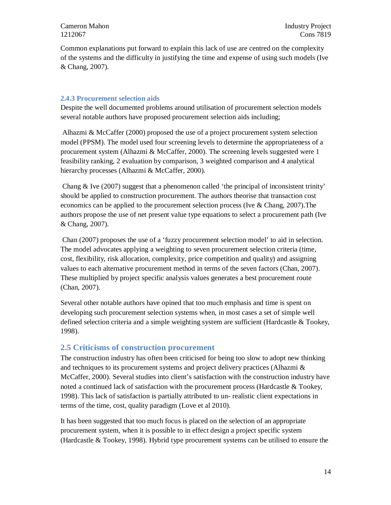Common explanations put forward to explain this lack of use are centred on the complexity of the systems and the difficulty in justifying the time and expense of using such models (Ive & Chang, 2007).

#### **2.4.3 Procurement selection aids**

Despite the well documented problems around utilisation of procurement selection models several notable authors have proposed procurement selection aids including;

Alhazmi & McCaffer (2000) proposed the use of a project procurement system selection model (PPSM). The model used four screening levels to determine the appropriateness of a procurement system (Alhazmi & McCaffer, 2000). The screening levels suggested were 1 feasibility ranking, 2 evaluation by comparison, 3 weighted comparison and 4 analytical hierarchy processes (Alhazmi & McCaffer, 2000).

Chang  $\&$  Ive (2007) suggest that a phenomenon called 'the principal of inconsistent trinity' should be applied to construction procurement. The authors theorise that transaction cost economics can be applied to the procurement selection process (Ive  $\&$  Chang, 2007). The authors propose the use of net present value type equations to select a procurement path (Ive & Chang, 2007).

Chan (2007) proposes the use of a 'fuzzy procurement selection model' to aid in selection. The model advocates applying a weighting to seven procurement selection criteria (time, cost, flexibility, risk allocation, complexity, price competition and quality) and assigning values to each alternative procurement method in terms of the seven factors (Chan, 2007). These multiplied by project specific analysis values generates a best procurement route (Chan, 2007).

Several other notable authors have opined that too much emphasis and time is spent on developing such procurement selection systems when, in most cases a set of simple well defined selection criteria and a simple weighting system are sufficient (Hardcastle & Tookey, 1998).

#### **2.5 Criticisms of construction procurement**

The construction industry has often been criticised for being too slow to adopt new thinking and techniques to its procurement systems and project delivery practices (Alhazmi & McCaffer, 2000). Several studies into client's satisfaction with the construction industry have noted a continued lack of satisfaction with the procurement process (Hardcastle & Tookey, 1998). This lack of satisfaction is partially attributed to un- realistic client expectations in terms of the time, cost, quality paradigm (Love et al 2010).

It has been suggested that too much focus is placed on the selection of an appropriate procurement system, when it is possible to in effect design a project specific system (Hardcastle & Tookey, 1998). Hybrid type procurement systems can be utilised to ensure the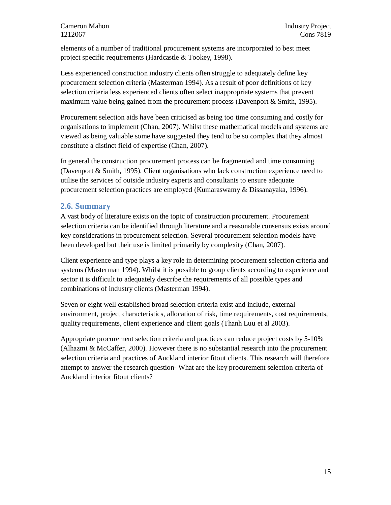Cameron Mahon Industry Project 1212067 Cons 7819

elements of a number of traditional procurement systems are incorporated to best meet project specific requirements (Hardcastle & Tookey, 1998).

Less experienced construction industry clients often struggle to adequately define key procurement selection criteria (Masterman 1994). As a result of poor definitions of key selection criteria less experienced clients often select inappropriate systems that prevent maximum value being gained from the procurement process (Davenport & Smith, 1995).

Procurement selection aids have been criticised as being too time consuming and costly for organisations to implement (Chan, 2007). Whilst these mathematical models and systems are viewed as being valuable some have suggested they tend to be so complex that they almost constitute a distinct field of expertise (Chan, 2007).

In general the construction procurement process can be fragmented and time consuming (Davenport & Smith, 1995). Client organisations who lack construction experience need to utilise the services of outside industry experts and consultants to ensure adequate procurement selection practices are employed (Kumaraswamy & Dissanayaka, 1996).

#### **2.6. Summary**

A vast body of literature exists on the topic of construction procurement. Procurement selection criteria can be identified through literature and a reasonable consensus exists around key considerations in procurement selection. Several procurement selection models have been developed but their use is limited primarily by complexity (Chan, 2007).

Client experience and type plays a key role in determining procurement selection criteria and systems (Masterman 1994). Whilst it is possible to group clients according to experience and sector it is difficult to adequately describe the requirements of all possible types and combinations of industry clients (Masterman 1994).

Seven or eight well established broad selection criteria exist and include, external environment, project characteristics, allocation of risk, time requirements, cost requirements, quality requirements, client experience and client goals (Thanh Luu et al 2003).

Appropriate procurement selection criteria and practices can reduce project costs by 5-10% (Alhazmi & McCaffer, 2000). However there is no substantial research into the procurement selection criteria and practices of Auckland interior fitout clients. This research will therefore attempt to answer the research question- What are the key procurement selection criteria of Auckland interior fitout clients?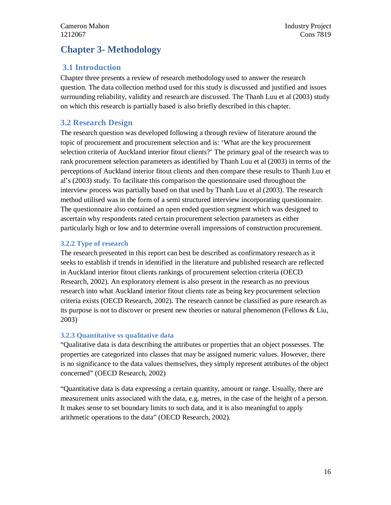# **Chapter 3- Methodology**

#### **3.1 Introduction**

Chapter three presents a review of research methodology used to answer the research question. The data collection method used for this study is discussed and justified and issues surrounding reliability, validity and research are discussed. The Thanh Luu et al (2003) study on which this research is partially based is also briefly described in this chapter.

#### **3.2 Research Design**

The research question was developed following a through review of literature around the topic of procurement and procurement selection and is: 'What are the key procurement selection criteria of Auckland interior fitout clients?' The primary goal of the research was to rank procurement selection parameters as identified by Thanh Luu et al (2003) in terms of the perceptions of Auckland interior fitout clients and then compare these results to Thanh Luu et al's (2003) study. To facilitate this comparison the questionnaire used throughout the interview process was partially based on that used by Thanh Luu et al (2003). The research method utilised was in the form of a semi structured interview incorporating questionnaire. The questionnaire also contained an open ended question segment which was designed to ascertain why respondents rated certain procurement selection parameters as either particularly high or low and to determine overall impressions of construction procurement.

#### **3.2.2 Type of research**

The research presented in this report can best be described as confirmatory research as it seeks to establish if trends in identified in the literature and published research are reflected in Auckland interior fitout clients rankings of procurement selection criteria (OECD Research, 2002). An exploratory element is also present in the research as no previous research into what Auckland interior fitout clients rate as being key procurement selection criteria exists (OECD Research, 2002). The research cannot be classified as pure research as its purpose is not to discover or present new theories or natural phenomenon (Fellows & Liu, 2003)

#### **3.2.3 Quantitative vs qualitative data**

"Qualitative data is data describing the attributes or properties that an object possesses. The properties are categorized into classes that may be assigned numeric values. However, there is no significance to the data values themselves, they simply represent attributes of the object concerned" (OECD Research, 2002)

"Quantitative data is data expressing a certain quantity, amount or range. Usually, there are measurement units associated with the data, e.g. metres, in the case of the height of a person. It makes sense to set boundary limits to such data, and it is also meaningful to apply arithmetic operations to the data" (OECD Research, 2002).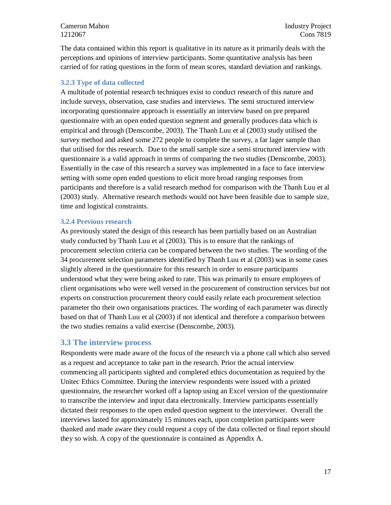#### Cameron Mahon **Industry Project Cameron Mahon** 1212067 Cons 7819

The data contained within this report is qualitative in its nature as it primarily deals with the perceptions and opinions of interview participants. Some quantitative analysis has been carried of for rating questions in the form of mean scores, standard deviation and rankings.

#### **3.2.3 Type of data collected**

A multitude of potential research techniques exist to conduct research of this nature and include surveys, observation, case studies and interviews. The semi structured interview incorporating questionnaire approach is essentially an interview based on pre prepared questionnaire with an open ended question segment and generally produces data which is empirical and through (Denscombe, 2003). The Thanh Luu et al (2003) study utilised the survey method and asked some 272 people to complete the survey, a far lager sample than that utilised for this research. Due to the small sample size a semi structured interview with questionnaire is a valid approach in terms of comparing the two studies (Denscombe, 2003). Essentially in the case of this research a survey was implemented in a face to face interview setting with some open ended questions to elicit more broad ranging responses from participants and therefore is a valid research method for comparison with the Thanh Luu et al (2003) study. Alternative research methods would not have been feasible due to sample size, time and logistical constraints.

#### **3.2.4 Previous research**

As previously stated the design of this research has been partially based on an Australian study conducted by Thanh Luu et al (2003). This is to ensure that the rankings of procurement selection criteria can be compared between the two studies. The wording of the 34 procurement selection parameters identified by Thanh Luu et al (2003) was in some cases slightly altered in the questionnaire for this research in order to ensure participants understood what they were being asked to rate. This was primarily to ensure employees of client organisations who were well versed in the procurement of construction services but not experts on construction procurement theory could easily relate each procurement selection parameter tho their own organisations practices. The wording of each parameter was directly based on that of Thanh Luu et al (2003) if not identical and therefore a comparison between the two studies remains a valid exercise (Denscombe, 2003).

#### **3.3 The interview process**

Respondents were made aware of the focus of the research via a phone call which also served as a request and acceptance to take part in the research. Prior the actual interview commencing all participants sighted and completed ethics documentation as required by the Unitec Ethics Committee. During the interview respondents were issued with a printed questionnaire, the researcher worked off a laptop using an Excel version of the questionnaire to transcribe the interview and input data electronically. Interview participants essentially dictated their responses to the open ended question segment to the interviewer. Overall the interviews lasted for approximately 15 minutes each, upon completion participants were thanked and made aware they could request a copy of the data collected or final report should they so wish. A copy of the questionnaire is contained as Appendix A.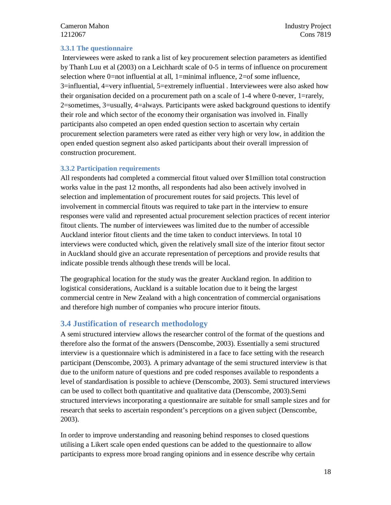# Cameron Mahon Industry Project

#### **3.3.1 The questionnaire**

Interviewees were asked to rank a list of key procurement selection parameters as identified by Thanh Luu et al (2003) on a Leichhardt scale of 0-5 in terms of influence on procurement selection where 0=not influential at all, 1=minimal influence, 2=of some influence, 3=influential, 4=very influential, 5=extremely influential . Interviewees were also asked how their organisation decided on a procurement path on a scale of 1-4 where 0-never, 1=rarely, 2=sometimes, 3=usually, 4=always. Participants were asked background questions to identify their role and which sector of the economy their organisation was involved in. Finally participants also competed an open ended question section to ascertain why certain procurement selection parameters were rated as either very high or very low, in addition the open ended question segment also asked participants about their overall impression of construction procurement.

#### **3.3.2 Participation requirements**

All respondents had completed a commercial fitout valued over \$1million total construction works value in the past 12 months, all respondents had also been actively involved in selection and implementation of procurement routes for said projects. This level of involvement in commercial fitouts was required to take part in the interview to ensure responses were valid and represented actual procurement selection practices of recent interior fitout clients. The number of interviewees was limited due to the number of accessible Auckland interior fitout clients and the time taken to conduct interviews. In total 10 interviews were conducted which, given the relatively small size of the interior fitout sector in Auckland should give an accurate representation of perceptions and provide results that indicate possible trends although these trends will be local.

The geographical location for the study was the greater Auckland region. In addition to logistical considerations, Auckland is a suitable location due to it being the largest commercial centre in New Zealand with a high concentration of commercial organisations and therefore high number of companies who procure interior fitouts.

#### **3.4 Justification of research methodology**

A semi structured interview allows the researcher control of the format of the questions and therefore also the format of the answers (Denscombe, 2003). Essentially a semi structured interview is a questionnaire which is administered in a face to face setting with the research participant (Denscombe, 2003). A primary advantage of the semi structured interview is that due to the uniform nature of questions and pre coded responses available to respondents a level of standardisation is possible to achieve (Denscombe, 2003). Semi structured interviews can be used to collect both quantitative and qualitative data (Denscombe, 2003).Semi structured interviews incorporating a questionnaire are suitable for small sample sizes and for research that seeks to ascertain respondent's perceptions on a given subject (Denscombe, 2003).

In order to improve understanding and reasoning behind responses to closed questions utilising a Likert scale open ended questions can be added to the questionnaire to allow participants to express more broad ranging opinions and in essence describe why certain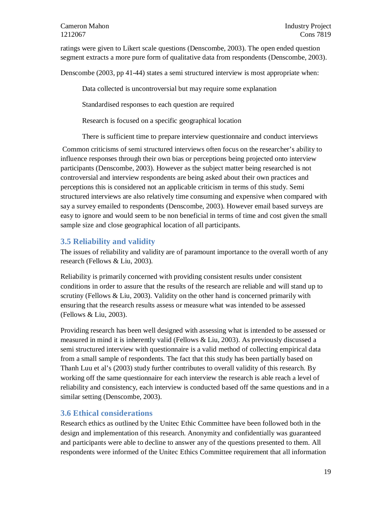#### Cameron Mahon Industry Project 1212067 Cons 7819

ratings were given to Likert scale questions (Denscombe, 2003). The open ended question segment extracts a more pure form of qualitative data from respondents (Denscombe, 2003).

Denscombe (2003, pp 41-44) states a semi structured interview is most appropriate when:

Data collected is uncontroversial but may require some explanation

Standardised responses to each question are required

Research is focused on a specific geographical location

There is sufficient time to prepare interview questionnaire and conduct interviews

Common criticisms of semi structured interviews often focus on the researcher's ability to influence responses through their own bias or perceptions being projected onto interview participants (Denscombe, 2003). However as the subject matter being researched is not controversial and interview respondents are being asked about their own practices and perceptions this is considered not an applicable criticism in terms of this study. Semi structured interviews are also relatively time consuming and expensive when compared with say a survey emailed to respondents (Denscombe, 2003). However email based surveys are easy to ignore and would seem to be non beneficial in terms of time and cost given the small sample size and close geographical location of all participants.

#### **3.5 Reliability and validity**

The issues of reliability and validity are of paramount importance to the overall worth of any research (Fellows & Liu, 2003).

Reliability is primarily concerned with providing consistent results under consistent conditions in order to assure that the results of the research are reliable and will stand up to scrutiny (Fellows & Liu, 2003). Validity on the other hand is concerned primarily with ensuring that the research results assess or measure what was intended to be assessed (Fellows & Liu, 2003).

Providing research has been well designed with assessing what is intended to be assessed or measured in mind it is inherently valid (Fellows & Liu, 2003). As previously discussed a semi structured interview with questionnaire is a valid method of collecting empirical data from a small sample of respondents. The fact that this study has been partially based on Thanh Luu et al's (2003) study further contributes to overall validity of this research. By working off the same questionnaire for each interview the research is able reach a level of reliability and consistency, each interview is conducted based off the same questions and in a similar setting (Denscombe, 2003).

#### **3.6 Ethical considerations**

Research ethics as outlined by the Unitec Ethic Committee have been followed both in the design and implementation of this research. Anonymity and confidentially was guaranteed and participants were able to decline to answer any of the questions presented to them. All respondents were informed of the Unitec Ethics Committee requirement that all information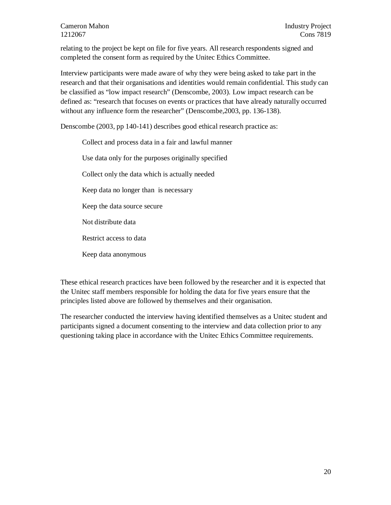Cameron Mahon Industry Project 1212067 Cons 7819

relating to the project be kept on file for five years. All research respondents signed and completed the consent form as required by the Unitec Ethics Committee.

Interview participants were made aware of why they were being asked to take part in the research and that their organisations and identities would remain confidential. This study can be classified as "low impact research" (Denscombe, 2003). Low impact research can be defined as: "research that focuses on events or practices that have already naturally occurred without any influence form the researcher" (Denscombe, 2003, pp. 136-138).

Denscombe (2003, pp 140-141) describes good ethical research practice as:

Collect and process data in a fair and lawful manner Use data only for the purposes originally specified Collect only the data which is actually needed Keep data no longer than is necessary Keep the data source secure Not distribute data Restrict access to data Keep data anonymous

These ethical research practices have been followed by the researcher and it is expected that the Unitec staff members responsible for holding the data for five years ensure that the principles listed above are followed by themselves and their organisation.

The researcher conducted the interview having identified themselves as a Unitec student and participants signed a document consenting to the interview and data collection prior to any questioning taking place in accordance with the Unitec Ethics Committee requirements.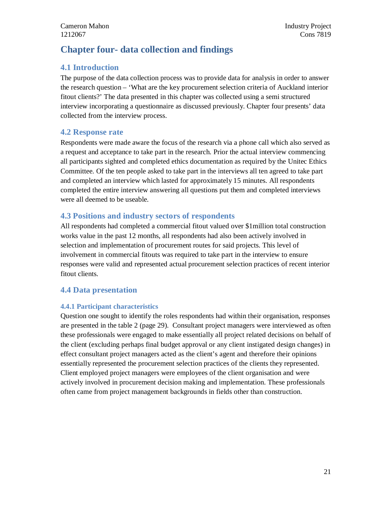# **Chapter four- data collection and findings**

#### **4.1 Introduction**

The purpose of the data collection process was to provide data for analysis in order to answer the research question – 'What are the key procurement selection criteria of Auckland interior fitout clients?' The data presented in this chapter was collected using a semi structured interview incorporating a questionnaire as discussed previously. Chapter four presents' data collected from the interview process.

#### **4.2 Response rate**

Respondents were made aware the focus of the research via a phone call which also served as a request and acceptance to take part in the research. Prior the actual interview commencing all participants sighted and completed ethics documentation as required by the Unitec Ethics Committee. Of the ten people asked to take part in the interviews all ten agreed to take part and completed an interview which lasted for approximately 15 minutes. All respondents completed the entire interview answering all questions put them and completed interviews were all deemed to be useable.

#### **4.3 Positions and industry sectors of respondents**

All respondents had completed a commercial fitout valued over \$1million total construction works value in the past 12 months, all respondents had also been actively involved in selection and implementation of procurement routes for said projects. This level of involvement in commercial fitouts was required to take part in the interview to ensure responses were valid and represented actual procurement selection practices of recent interior fitout clients.

#### **4.4 Data presentation**

#### **4.4.1 Participant characteristics**

Question one sought to identify the roles respondents had within their organisation, responses are presented in the table 2 (page 29). Consultant project managers were interviewed as often these professionals were engaged to make essentially all project related decisions on behalf of the client (excluding perhaps final budget approval or any client instigated design changes) in effect consultant project managers acted as the client's agent and therefore their opinions essentially represented the procurement selection practices of the clients they represented. Client employed project managers were employees of the client organisation and were actively involved in procurement decision making and implementation. These professionals often came from project management backgrounds in fields other than construction.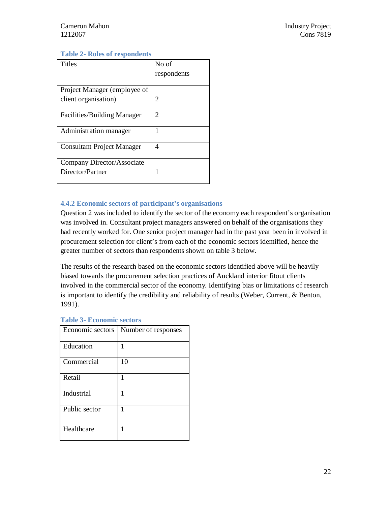#### **Table 2- Roles of respondents**

| Titles                            | No of       |
|-----------------------------------|-------------|
|                                   | respondents |
|                                   |             |
| Project Manager (employee of      |             |
| client organisation)              | 2           |
| Facilities/Building Manager       | 2           |
| Administration manager            | 1           |
| <b>Consultant Project Manager</b> | 4           |
| Company Director/Associate        |             |
| Director/Partner                  |             |

#### **4.4.2 Economic sectors of participant's organisations**

Question 2 was included to identify the sector of the economy each respondent's organisation was involved in. Consultant project managers answered on behalf of the organisations they had recently worked for. One senior project manager had in the past year been in involved in procurement selection for client's from each of the economic sectors identified, hence the greater number of sectors than respondents shown on table 3 below.

The results of the research based on the economic sectors identified above will be heavily biased towards the procurement selection practices of Auckland interior fitout clients involved in the commercial sector of the economy. Identifying bias or limitations of research is important to identify the credibility and reliability of results (Weber, Current, & Benton, 1991).

| Economic sectors | Number of responses |
|------------------|---------------------|
| Education        | 1                   |
| Commercial       | 10                  |
| Retail           | 1                   |
| Industrial       | 1                   |
| Public sector    | 1                   |
| Healthcare       |                     |

#### **Table 3- Economic sectors**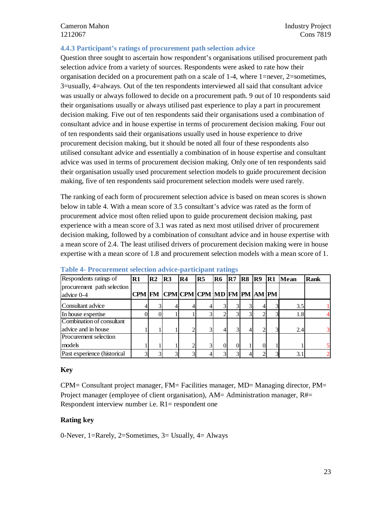#### **4.4.3 Participant's ratings of procurement path selection advice**

Question three sought to ascertain how respondent's organisations utilised procurement path selection advice from a variety of sources. Respondents were asked to rate how their organisation decided on a procurement path on a scale of  $1-4$ , where  $1=$ never,  $2=$ sometimes, 3=usually, 4=always. Out of the ten respondents interviewed all said that consultant advice was usually or always followed to decide on a procurement path. 9 out of 10 respondents said their organisations usually or always utilised past experience to play a part in procurement decision making. Five out of ten respondents said their organisations used a combination of consultant advice and in house expertise in terms of procurement decision making. Four out of ten respondents said their organisations usually used in house experience to drive procurement decision making, but it should be noted all four of these respondents also utilised consultant advice and essentially a combination of in house expertise and consultant advice was used in terms of procurement decision making. Only one of ten respondents said their organisation usually used procurement selection models to guide procurement decision making, five of ten respondents said procurement selection models were used rarely.

The ranking of each form of procurement selection advice is based on mean scores is shown below in table 4. With a mean score of 3.5 consultant's advice was rated as the form of procurement advice most often relied upon to guide procurement decision making, past experience with a mean score of 3.1 was rated as next most utilised driver of procurement decision making, followed by a combination of consultant advice and in house expertise with a mean score of 2.4. The least utilised drivers of procurement decision making were in house expertise with a mean score of 1.8 and procurement selection models with a mean score of 1.

| Respondents ratings of                   | $\mathbf{R}1$ | IR2 | $\vert$ R3 | R4                                | R <sub>5</sub> | <b>R6</b> |   | $\overline{R7}$ $\overline{R8}$ $\overline{R9}$ $\overline{R1}$ | Mean | <b>Rank</b> |
|------------------------------------------|---------------|-----|------------|-----------------------------------|----------------|-----------|---|-----------------------------------------------------------------|------|-------------|
| procurement path selection<br>advice 0-4 |               |     |            | CPM FM CPM CPM CPM MD FM PM AM PM |                |           |   |                                                                 |      |             |
| Consultant advice                        |               |     |            |                                   |                |           |   |                                                                 | 3.5  |             |
| In house expertise                       |               |     |            |                                   |                |           |   |                                                                 | 1.8  |             |
| Combination of consultant                |               |     |            |                                   |                |           |   |                                                                 |      |             |
| advice and in house                      |               |     |            |                                   |                |           | 4 | $\mathfrak{D}$                                                  | 2.4  |             |
| Procurement selection                    |               |     |            |                                   |                |           |   |                                                                 |      |             |
| models                                   |               |     |            |                                   |                |           |   |                                                                 |      |             |
| Past experience (historical              |               |     |            |                                   |                |           |   |                                                                 | 3.1  |             |

**Table 4- Procurement selection advice-participant ratings** 

#### **Key**

CPM= Consultant project manager, FM= Facilities manager, MD= Managing director, PM= Project manager (employee of client organisation), AM= Administration manager, R#= Respondent interview number i.e. R1= respondent one

#### **Rating key**

0-Never, 1=Rarely, 2=Sometimes, 3= Usually, 4= Always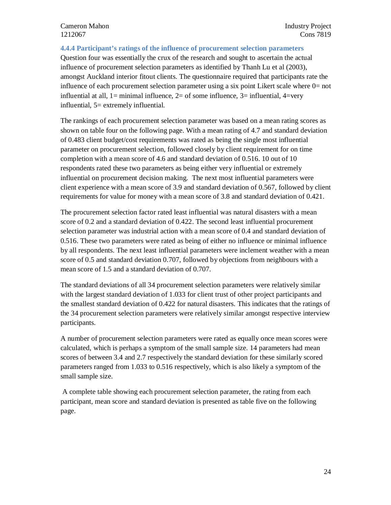Cameron Mahon Industry Project

#### **4.4.4 Participant's ratings of the influence of procurement selection parameters**

Question four was essentially the crux of the research and sought to ascertain the actual influence of procurement selection parameters as identified by Thanh Lu et al (2003), amongst Auckland interior fitout clients. The questionnaire required that participants rate the influence of each procurement selection parameter using a six point Likert scale where 0= not influential at all,  $1 =$  minimal influence,  $2 =$  of some influence,  $3 =$  influential,  $4 =$ very influential, 5= extremely influential.

The rankings of each procurement selection parameter was based on a mean rating scores as shown on table four on the following page. With a mean rating of 4.7 and standard deviation of 0.483 client budget/cost requirements was rated as being the single most influential parameter on procurement selection, followed closely by client requirement for on time completion with a mean score of 4.6 and standard deviation of 0.516. 10 out of 10 respondents rated these two parameters as being either very influential or extremely influential on procurement decision making. The next most influential parameters were client experience with a mean score of 3.9 and standard deviation of 0.567, followed by client requirements for value for money with a mean score of 3.8 and standard deviation of 0.421.

The procurement selection factor rated least influential was natural disasters with a mean score of 0.2 and a standard deviation of 0.422. The second least influential procurement selection parameter was industrial action with a mean score of 0.4 and standard deviation of 0.516. These two parameters were rated as being of either no influence or minimal influence by all respondents. The next least influential parameters were inclement weather with a mean score of 0.5 and standard deviation 0.707, followed by objections from neighbours with a mean score of 1.5 and a standard deviation of 0.707.

The standard deviations of all 34 procurement selection parameters were relatively similar with the largest standard deviation of 1.033 for client trust of other project participants and the smallest standard deviation of 0.422 for natural disasters. This indicates that the ratings of the 34 procurement selection parameters were relatively similar amongst respective interview participants.

A number of procurement selection parameters were rated as equally once mean scores were calculated, which is perhaps a symptom of the small sample size. 14 parameters had mean scores of between 3.4 and 2.7 respectively the standard deviation for these similarly scored parameters ranged from 1.033 to 0.516 respectively, which is also likely a symptom of the small sample size.

A complete table showing each procurement selection parameter, the rating from each participant, mean score and standard deviation is presented as table five on the following page.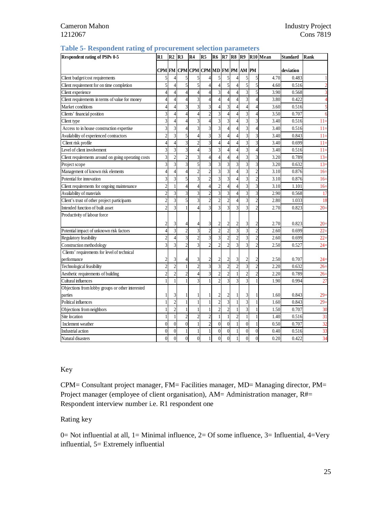#### **Table 5- Respondent rating of procurement selection parameters**

| <b>Respondent rating of PSPs 0-5</b>                | R1             | R2             | R3             | R <sub>4</sub> | R5                      | R6               | R7             | R8             | R9                      |                | R <sub>10</sub> Mean | Standard  | Rank            |
|-----------------------------------------------------|----------------|----------------|----------------|----------------|-------------------------|------------------|----------------|----------------|-------------------------|----------------|----------------------|-----------|-----------------|
|                                                     |                |                |                |                |                         |                  |                |                |                         |                |                      |           |                 |
|                                                     | CPM            | <b>FM</b>      | <b>CPM</b>     | <b>CPM</b>     | CPM MD FM PM AM         |                  |                |                |                         | PM             |                      | deviation |                 |
| Client budget/cost requirements                     | 5              | 4              | 5              | 5              | $\overline{4}$          | 5                | 5              | $\overline{4}$ | 5                       | 5              | 4.70                 | 0.483     |                 |
| Client requirement for on time completion           | 5              | 4              | 5              | 5              | $\overline{4}$          | $\overline{4}$   | 5              | $\overline{4}$ | 5                       | 5              | 4.60                 | 0.516     |                 |
| Client experience                                   | $\overline{4}$ | $\overline{4}$ | $\overline{4}$ | $\overline{4}$ | $\overline{4}$          | 3                | $\overline{4}$ | $\overline{4}$ | 3                       | 5              | 3.90                 | 0.568     |                 |
| Client requirements in terms of value for money     | $\overline{4}$ | $\overline{4}$ | $\overline{4}$ | $\overline{3}$ | $\overline{4}$          | $\overline{4}$   | $\overline{4}$ | $\overline{4}$ | 3                       | $\overline{4}$ | 3.80                 | 0.422     |                 |
| Market conditions                                   | $\overline{4}$ | $\overline{4}$ | 3              | $\overline{3}$ | 3                       | $\overline{4}$   | 3              | $\overline{4}$ | $\overline{4}$          | $\overline{4}$ | 3.60                 | 0.516     |                 |
| Clients' financial position                         | 3              | $\overline{4}$ | $\overline{4}$ | $\overline{4}$ | $\overline{2}$          | 3                | $\overline{4}$ | $\overline{4}$ | 3                       | 4              | 3.50                 | 0.707     |                 |
| Client type                                         | 3              | $\overline{4}$ | $\overline{4}$ | 3              | $\overline{4}$          | $\overline{3}$   | $\overline{3}$ | $\overline{4}$ | $\overline{\mathbf{3}}$ | 3              | 3.40                 | 0.516     | $11=$           |
| Access to in house construction expertise           | 3              | 3              | $\overline{4}$ | $\overline{3}$ | 3                       | 3                | $\overline{4}$ | $\overline{4}$ | 3                       | $\overline{4}$ | 3.40                 | 0.516     | 11:             |
| Availability of experienced contractors             | $\overline{2}$ | $\overline{3}$ | 5              | $\overline{4}$ | 3                       | 3                | $\overline{4}$ | $\overline{4}$ | 3                       | 3              | 3.40                 | 0.843     | 11 <sub>5</sub> |
| Client risk profile                                 | $\overline{4}$ | $\overline{4}$ | 3              | $\overline{c}$ | 3                       | $\overline{4}$   | $\overline{4}$ | $\overline{4}$ | $\overline{\mathbf{3}}$ | 3              | 3.40                 | 0.699     | $11 =$          |
| Level of client involvement                         | 3              | 3              | $\overline{3}$ | $\overline{4}$ | 3                       | 3                | $\overline{4}$ | $\overline{4}$ | 3                       | $\overline{4}$ | 3.40                 | 0.516     | $11 =$          |
| Client requirements around on going operating costs | 3              | $\overline{2}$ | $\overline{c}$ | $\overline{3}$ | $\overline{4}$          | $\overline{4}$   | 4              | $\overline{4}$ | $\overline{3}$          | 3              | 3.20                 | 0.789     | $13=$           |
| Project scope                                       | 3              | 3              | 3              | 5              | 3                       | 3                | 3              | 3              | 3                       | $\overline{3}$ | 3.20                 | 0.632     | $13 =$          |
| Management of known risk elements                   | 4              | $\overline{4}$ | $\overline{4}$ | $\overline{c}$ | $\overline{2}$          | $\overline{3}$   | $\overline{3}$ | $\overline{4}$ | 3                       | $\overline{2}$ | 3.10                 | 0.876     | $16=$           |
| Potential for innovation                            | 3              | 3              | 5              | $\overline{3}$ | $\overline{c}$          | 3                | $\overline{3}$ | $\overline{4}$ | 3                       | $\overline{c}$ | 3.10                 | 0.876     | $16=$           |
| Client requirements for ongoing maintenance         | $\overline{c}$ | 1              | $\overline{4}$ | $\overline{4}$ | $\overline{4}$          | $\overline{c}$   | $\overline{4}$ | $\overline{4}$ | 3                       | $\overline{3}$ | 3.10                 | 1.101     | $16=$           |
| Availability of materials                           | $\overline{c}$ | $\overline{3}$ | $\overline{3}$ | 3              | $\overline{2}$          | $\overline{3}$   | 3              | $\overline{4}$ | $\overline{\mathbf{3}}$ | $\overline{3}$ | 2.90                 | 0.568     | 17              |
| Client's trust of other project participants        | $\overline{2}$ | 3              | 5              | 3              | $\overline{2}$          | $\overline{2}$   | $\overline{2}$ | $\overline{4}$ | 3                       | $\overline{2}$ | 2.80                 | 1.033     | 18              |
| Intended function of built asset                    | $\overline{2}$ | $\overline{3}$ | $\mathbf{1}$   | $\overline{4}$ | 3                       | 3                | $\overline{3}$ | $\overline{3}$ | 3                       | $\overline{2}$ | 2.70                 | 0.823     | $20 =$          |
| Productivity of labour force                        |                |                |                |                |                         |                  |                |                |                         |                |                      |           |                 |
|                                                     | $\overline{c}$ | 3              | 4              | 4              | 3                       | $\boldsymbol{2}$ | $\overline{c}$ | $\overline{c}$ | 3                       | $\overline{2}$ | 2.70                 | 0.823     | $20=$           |
| Potential impact of unknown risk factors            | $\overline{4}$ | $\overline{3}$ | $\overline{c}$ | $\overline{3}$ | $\overline{2}$          | $\overline{c}$   | $\overline{2}$ | $\overline{3}$ | $\overline{3}$          | $\overline{2}$ | 2.60                 | 0.699     | $22 =$          |
| Regulatory feasibility                              | $\overline{2}$ | $\overline{4}$ | $\overline{3}$ | $\overline{c}$ | 3                       | $\overline{3}$   | $\overline{c}$ | $\overline{c}$ | $\overline{\mathbf{3}}$ | $\overline{2}$ | 2.60                 | 0.699     | $22 =$          |
| Construction methodology                            | 3              | 3              | $\overline{2}$ | $\overline{3}$ | $\overline{2}$          | $\overline{c}$   | $\overline{2}$ | 3              | $\overline{3}$          | $\overline{2}$ | 2.50                 | 0.527     | $24 =$          |
| Clients' requirements for level of technical        |                |                |                |                |                         |                  |                |                |                         |                |                      |           |                 |
| performance                                         | $\overline{c}$ | 3              | 4              | 3              | $\overline{c}$          | $\overline{c}$   | $\overline{c}$ | 3              | $\overline{c}$          | $\overline{c}$ | 2.50                 | 0.707     | 24:             |
| Technological feasibility                           | $\overline{c}$ | $\overline{c}$ | $\mathbf{1}$   | $\overline{2}$ | $\overline{\mathbf{3}}$ | $\overline{3}$   | $\overline{c}$ | $\overline{c}$ | $\overline{\mathbf{3}}$ | $\overline{c}$ | 2.20                 | 0.632     | $26=$           |
| Aesthetic requirements of building                  | $\overline{c}$ | $\overline{c}$ | $\overline{c}$ | $\overline{4}$ | 3                       | $\overline{2}$   | $\overline{2}$ | $\mathbf{1}$   | $\overline{c}$          | $\overline{2}$ | 2.20                 | 0.789     | $26 =$          |
| Cultural influences                                 | 1              |                | $\mathbf{1}$   | $\overline{3}$ |                         | $\overline{c}$   | 3              | $\overline{3}$ | 3                       |                | 1.90                 | 0.994     | 27              |
| Objections from lobby groups or other interested    |                |                |                |                |                         |                  |                |                |                         |                |                      |           |                 |
| parties                                             | 1              | 3              | 1              | 1              | 1                       | $\overline{c}$   | $\overline{c}$ | 1              | 3                       | 1              | 1.60                 | 0.843     | 29.             |
| Political influences                                | 1              | $\overline{2}$ | $\mathbf{1}$   | $\mathbf{1}$   | $\mathbf{1}$            | $\overline{c}$   | 3              | $\mathbf{1}$   | $\overline{3}$          | 1              | 1.60                 | 0.843     | $29 =$          |
| Objections from neighbors                           | 1              | $\overline{c}$ | 1              | 1              | 1                       | $\overline{c}$   | $\overline{2}$ | 1              | 3                       |                | 1.50                 | 0.707     | 30              |
| Site location                                       | 1              | 1              | $\overline{2}$ | $\overline{c}$ | $\overline{2}$          | $\mathbf{1}$     | 1              | $\overline{2}$ | $\mathbf{1}$            |                | 1.40                 | 0.516     | 31              |
| Inclement weather                                   | $\overline{0}$ | $\overline{0}$ | $\overline{0}$ | $\mathbf{1}$   | $\overline{c}$          | $\mathbf{0}$     | $\mathbf{0}$   | $\mathbf{1}$   | $\overline{0}$          | 1              | 0.50                 | 0.707     | 32              |
| Industrial action                                   | $\overline{0}$ | $\mathbf{0}$   | $\mathbf{1}$   | $\mathbf{1}$   | $\mathbf{1}$            | $\overline{0}$   | $\overline{0}$ | $\mathbf{1}$   | $\boldsymbol{0}$        | $\theta$       | 0.40                 | 0.516     | 33              |
| Natural disasters                                   | $\overline{0}$ | $\overline{0}$ | $\theta$       | $\overline{0}$ |                         | $\theta$         | $\Omega$       |                | $\theta$                | $\Omega$       | 0.20                 | 0.422     | 34              |

#### Key

CPM= Consultant project manager, FM= Facilities manager, MD= Managing director, PM= Project manager (employee of client organisation), AM= Administration manager, R#= Respondent interview number i.e. R1 respondent one

#### Rating key

0= Not influential at all, 1= Minimal influence, 2= Of some influence, 3= Influential, 4=Very influential, 5= Extremely influential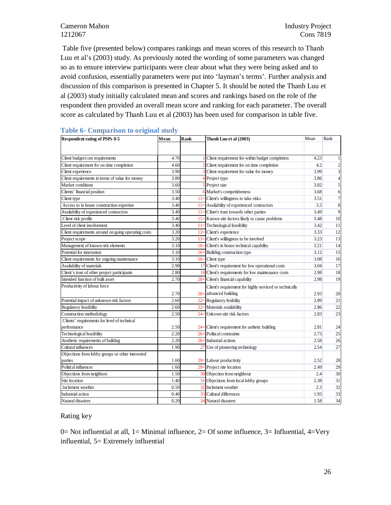Cameron Mahon Industry Project 1212067 Cons 7819

 Table five (presented below) compares rankings and mean scores of this research to Thanh Luu et al's (2003) study. As previously noted the wording of some parameters was changed so as to ensure interview participants were clear about what they were being asked and to avoid confusion, essentially parameters were put into 'layman's terms'. Further analysis and discussion of this comparison is presented in Chapter 5. It should be noted the Thanh Luu et al (2003) study initially calculated mean and scores and rankings based on the role of the respondent then provided an overall mean score and ranking for each parameter. The overall score as calculated by Thanh Luu et al (2003) has been used for comparison in table five.

| <b>Respondent rating of PSPs 0-5</b>                | Mean | Rank   | Thanh Luu et al (2003)                                  | Mean | Rank                    |
|-----------------------------------------------------|------|--------|---------------------------------------------------------|------|-------------------------|
|                                                     |      |        |                                                         |      |                         |
|                                                     |      |        |                                                         |      |                         |
| Client budget/cost requirements                     | 4.70 |        | Client requirement for within budget completion         | 4.23 | $\left  \right $        |
| Client requirement for on time completion           | 4.60 |        | Client requirement for on time completion               | 4.2  | $\overline{2}$          |
| Client experience                                   | 3.90 |        | Client requirement for value for money                  | 3.99 | $\overline{\mathbf{3}}$ |
| Client requirements in terms of value for money     | 3.80 |        | Project type                                            | 3.86 | $\left 4\right $        |
| Market conditions                                   | 3.60 |        | Project size                                            | 3.82 | $\vert$                 |
| Clients' financial position                         | 3.50 |        | Market's competitiveness                                | 3.68 | $6 \mid$                |
| Client type                                         | 3.40 | $11=$  | Client's willingness to take risks                      | 3.51 | $\boldsymbol{7}$        |
| Access to in house construction expertise           | 3.40 | $11=$  | Availability of experienced contractors                 | 3.5  | $\bf 8$                 |
| Availability of experienced contractors             | 3.40 | $11=$  | Clinet's trust towards other parties                    | 3.49 | $\overline{9}$          |
| Client risk profile                                 | 3.40 | $11=$  | Known site factors likely to cause problems             | 3.48 | 10                      |
| Level of client involvement                         | 3.40 | $11=$  | Technological feasibility                               | 3.42 | 11                      |
| Client requirements around on going operating costs | 3.20 | $13=$  | Client's experience                                     | 3.33 | 12                      |
| Project scope                                       | 3.20 | $13=$  | Client's willingness to be involved                     | 3.23 | 13                      |
| Management of known risk elements                   | 3.10 | $16=$  | Client's in house technical capability                  | 3.21 | 14                      |
| Potential for innovation                            | 3.10 |        | $16$ Building construction type                         | 3.12 | 15                      |
| Client requirements for ongoing maintenance         | 3.10 | $16=$  | Client type                                             | 3.08 | 16                      |
| Availability of materials                           | 2.90 |        | Client's requirement for low operational costs          | 3.04 | 17                      |
| Client's trust of other project participants        | 2.80 | 18     | Client's requirements for low maintenance costs         | 2.98 | 18                      |
| Intended function of built asset                    | 2.70 | $20=$  | Client's financial capability                           | 2.98 | 19                      |
| Productivity of labour force                        |      |        | Client's requirement for highly serviced or technically |      |                         |
|                                                     | 2.70 | $20=$  | advanced building                                       | 2.93 | 20                      |
| Potential impact of unknown risk factors            | 2.60 | $22 =$ | Regulatory fesibility                                   | 2.89 | 21                      |
| Regulatory feasibility                              | 2.60 | $22 =$ | Materials availability                                  | 2.86 | $22\,$                  |
| Construction methodology                            | 2.50 | $24 =$ | Unkown site risk factors                                | 2.83 | 23                      |
| Clients' requirements for level of technical        |      |        |                                                         |      |                         |
| performance                                         | 2.50 | $24=$  | Client's requirement for asthetic building              | 2.81 | 24                      |
| Technological feasibility                           | 2.20 | $26=$  | Political constraints                                   | 2.73 | 25                      |
| Aesthetic requirements of building                  | 2.20 |        | $26$ Industrial actions                                 | 2.58 | 26                      |
| Cultural influences                                 | 1.90 |        | Use of pioneering technology                            | 2.54 | 27                      |
| Objections from lobby groups or other interested    |      |        |                                                         |      |                         |
| parties                                             | 1.60 |        | 29= Labour productivity                                 | 2.52 | 28                      |
| Political influences                                | 1.60 | $29 =$ | Project site location                                   | 2.49 | 29                      |
| Objections from neighbors                           | 1.50 | 30     | Objection from neighbour                                | 2.4  | 30                      |
| Site location                                       | 1.40 | 31     | Objections from local lobby groups                      | 2.38 | 31                      |
| Inclement weather                                   | 0.50 |        | 32 Inclement weather                                    | 2.3  | 32                      |
| Industrial action                                   | 0.40 | 33     | Cultural differences                                    | 1.93 | 33                      |
| Natural disasters                                   | 0.20 |        | 34 Natural disasters                                    | 1.58 | 34                      |

#### **Table 6- Comparison to original study**

#### Rating key

0 = Not influential at all, 1 = Minimal influence, 2 = Of some influence, 3 = Influential, 4 = Very influential, 5= Extremely influential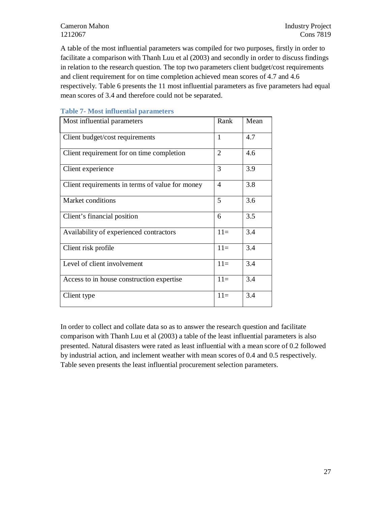A table of the most influential parameters was compiled for two purposes, firstly in order to facilitate a comparison with Thanh Luu et al (2003) and secondly in order to discuss findings in relation to the research question. The top two parameters client budget/cost requirements and client requirement for on time completion achieved mean scores of 4.7 and 4.6 respectively. Table 6 presents the 11 most influential parameters as five parameters had equal mean scores of 3.4 and therefore could not be separated.

| Most influential parameters                     | Rank           | Mean |
|-------------------------------------------------|----------------|------|
| Client budget/cost requirements                 | 1              | 4.7  |
| Client requirement for on time completion       | $\overline{2}$ | 4.6  |
| Client experience                               | 3              | 3.9  |
| Client requirements in terms of value for money | $\overline{4}$ | 3.8  |
| Market conditions                               | 5              | 3.6  |
| Client's financial position                     | 6              | 3.5  |
| Availability of experienced contractors         | $11=$          | 3.4  |
| Client risk profile                             | $11=$          | 3.4  |
| Level of client involvement                     | $11=$          | 3.4  |
| Access to in house construction expertise       | $11=$          | 3.4  |
| Client type                                     | $11=$          | 3.4  |

#### **Table 7- Most influential parameters**

In order to collect and collate data so as to answer the research question and facilitate comparison with Thanh Luu et al (2003) a table of the least influential parameters is also presented. Natural disasters were rated as least influential with a mean score of 0.2 followed by industrial action, and inclement weather with mean scores of 0.4 and 0.5 respectively. Table seven presents the least influential procurement selection parameters.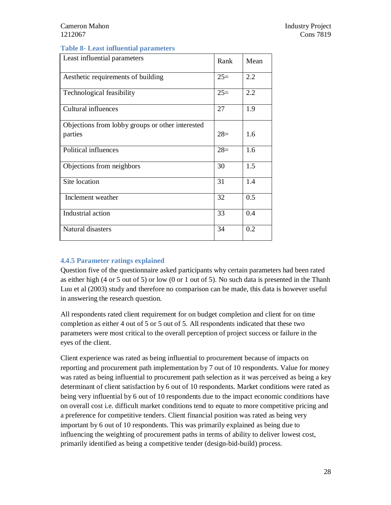#### **Table 8- Least influential parameters**

| Least influential parameters                     | Rank  | Mean |
|--------------------------------------------------|-------|------|
| Aesthetic requirements of building               | $25=$ | 2.2  |
| Technological feasibility                        | $25=$ | 2.2  |
| Cultural influences                              | 27    | 1.9  |
| Objections from lobby groups or other interested |       |      |
| parties                                          | $28=$ | 1.6  |
| Political influences                             | $28=$ | 1.6  |
| Objections from neighbors                        | 30    | 1.5  |
| Site location                                    | 31    | 1.4  |
| Inclement weather                                | 32    | 0.5  |
| Industrial action                                | 33    | 0.4  |
| Natural disasters                                | 34    | 0.2  |

#### **4.4.5 Parameter ratings explained**

Question five of the questionnaire asked participants why certain parameters had been rated as either high (4 or 5 out of 5) or low (0 or 1 out of 5). No such data is presented in the Thanh Luu et al (2003) study and therefore no comparison can be made, this data is however useful in answering the research question.

All respondents rated client requirement for on budget completion and client for on time completion as either 4 out of 5 or 5 out of 5. All respondents indicated that these two parameters were most critical to the overall perception of project success or failure in the eyes of the client.

Client experience was rated as being influential to procurement because of impacts on reporting and procurement path implementation by 7 out of 10 respondents. Value for money was rated as being influential to procurement path selection as it was perceived as being a key determinant of client satisfaction by 6 out of 10 respondents. Market conditions were rated as being very influential by 6 out of 10 respondents due to the impact economic conditions have on overall cost i.e. difficult market conditions tend to equate to more competitive pricing and a preference for competitive tenders. Client financial position was rated as being very important by 6 out of 10 respondents. This was primarily explained as being due to influencing the weighting of procurement paths in terms of ability to deliver lowest cost, primarily identified as being a competitive tender (design-bid-build) process.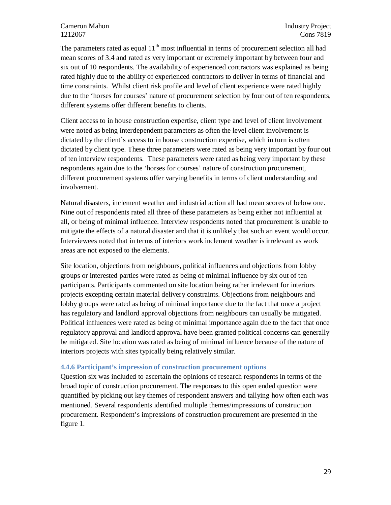The parameters rated as equal  $11<sup>th</sup>$  most influential in terms of procurement selection all had mean scores of 3.4 and rated as very important or extremely important by between four and six out of 10 respondents. The availability of experienced contractors was explained as being rated highly due to the ability of experienced contractors to deliver in terms of financial and time constraints. Whilst client risk profile and level of client experience were rated highly due to the 'horses for courses' nature of procurement selection by four out of ten respondents, different systems offer different benefits to clients.

Client access to in house construction expertise, client type and level of client involvement were noted as being interdependent parameters as often the level client involvement is dictated by the client's access to in house construction expertise, which in turn is often dictated by client type. These three parameters were rated as being very important by four out of ten interview respondents. These parameters were rated as being very important by these respondents again due to the 'horses for courses' nature of construction procurement, different procurement systems offer varying benefits in terms of client understanding and involvement.

Natural disasters, inclement weather and industrial action all had mean scores of below one. Nine out of respondents rated all three of these parameters as being either not influential at all, or being of minimal influence. Interview respondents noted that procurement is unable to mitigate the effects of a natural disaster and that it is unlikely that such an event would occur. Interviewees noted that in terms of interiors work inclement weather is irrelevant as work areas are not exposed to the elements.

Site location, objections from neighbours, political influences and objections from lobby groups or interested parties were rated as being of minimal influence by six out of ten participants. Participants commented on site location being rather irrelevant for interiors projects excepting certain material delivery constraints. Objections from neighbours and lobby groups were rated as being of minimal importance due to the fact that once a project has regulatory and landlord approval objections from neighbours can usually be mitigated. Political influences were rated as being of minimal importance again due to the fact that once regulatory approval and landlord approval have been granted political concerns can generally be mitigated. Site location was rated as being of minimal influence because of the nature of interiors projects with sites typically being relatively similar.

#### **4.4.6 Participant's impression of construction procurement options**

Question six was included to ascertain the opinions of research respondents in terms of the broad topic of construction procurement. The responses to this open ended question were quantified by picking out key themes of respondent answers and tallying how often each was mentioned. Several respondents identified multiple themes/impressions of construction procurement. Respondent's impressions of construction procurement are presented in the figure 1.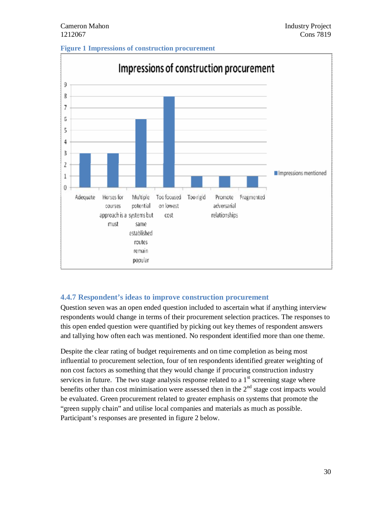#### **Figure 1 Impressions of construction procurement**



#### **4.4.7 Respondent's ideas to improve construction procurement**

Question seven was an open ended question included to ascertain what if anything interview respondents would change in terms of their procurement selection practices. The responses to this open ended question were quantified by picking out key themes of respondent answers and tallying how often each was mentioned. No respondent identified more than one theme.

Despite the clear rating of budget requirements and on time completion as being most influential to procurement selection, four of ten respondents identified greater weighting of non cost factors as something that they would change if procuring construction industry services in future. The two stage analysis response related to a  $1<sup>st</sup>$  screening stage where benefits other than cost minimisation were assessed then in the  $2<sup>nd</sup>$  stage cost impacts would be evaluated. Green procurement related to greater emphasis on systems that promote the "green supply chain" and utilise local companies and materials as much as possible. Participant's responses are presented in figure 2 below.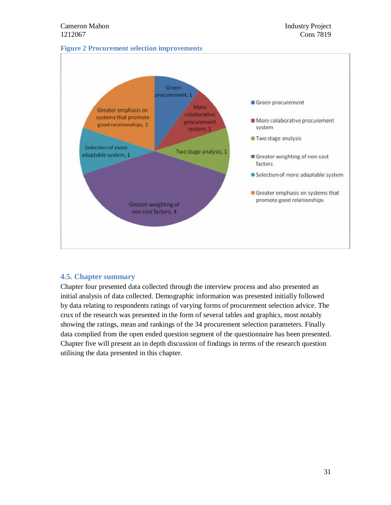#### **Figure 2 Procurement selection improvements**



#### **4.5. Chapter summary**

Chapter four presented data collected through the interview process and also presented an initial analysis of data collected. Demographic information was presented initially followed by data relating to respondents ratings of varying forms of procurement selection advice. The crux of the research was presented in the form of several tables and graphics, most notably showing the ratings, mean and rankings of the 34 procurement selection parameters. Finally data complied from the open ended question segment of the questionnaire has been presented. Chapter five will present an in depth discussion of findings in terms of the research question utilising the data presented in this chapter.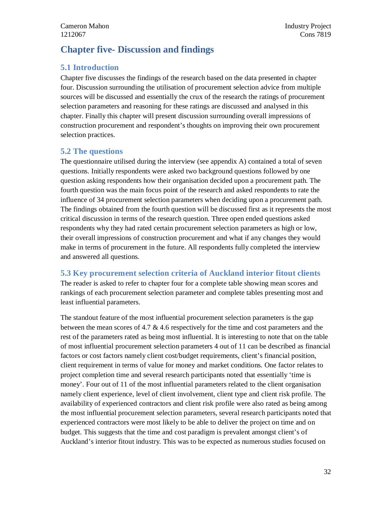# **Chapter five- Discussion and findings**

#### **5.1 Introduction**

Chapter five discusses the findings of the research based on the data presented in chapter four. Discussion surrounding the utilisation of procurement selection advice from multiple sources will be discussed and essentially the crux of the research the ratings of procurement selection parameters and reasoning for these ratings are discussed and analysed in this chapter. Finally this chapter will present discussion surrounding overall impressions of construction procurement and respondent's thoughts on improving their own procurement selection practices.

#### **5.2 The questions**

The questionnaire utilised during the interview (see appendix A) contained a total of seven questions. Initially respondents were asked two background questions followed by one question asking respondents how their organisation decided upon a procurement path. The fourth question was the main focus point of the research and asked respondents to rate the influence of 34 procurement selection parameters when deciding upon a procurement path. The findings obtained from the fourth question will be discussed first as it represents the most critical discussion in terms of the research question. Three open ended questions asked respondents why they had rated certain procurement selection parameters as high or low, their overall impressions of construction procurement and what if any changes they would make in terms of procurement in the future. All respondents fully completed the interview and answered all questions.

#### **5.3 Key procurement selection criteria of Auckland interior fitout clients**

The reader is asked to refer to chapter four for a complete table showing mean scores and rankings of each procurement selection parameter and complete tables presenting most and least influential parameters.

The standout feature of the most influential procurement selection parameters is the gap between the mean scores of 4.7 & 4.6 respectively for the time and cost parameters and the rest of the parameters rated as being most influential. It is interesting to note that on the table of most influential procurement selection parameters 4 out of 11 can be described as financial factors or cost factors namely client cost/budget requirements, client's financial position, client requirement in terms of value for money and market conditions. One factor relates to project completion time and several research participants noted that essentially 'time is money'. Four out of 11 of the most influential parameters related to the client organisation namely client experience, level of client involvement, client type and client risk profile. The availability of experienced contractors and client risk profile were also rated as being among the most influential procurement selection parameters, several research participants noted that experienced contractors were most likely to be able to deliver the project on time and on budget. This suggests that the time and cost paradigm is prevalent amongst client's of Auckland's interior fitout industry. This was to be expected as numerous studies focused on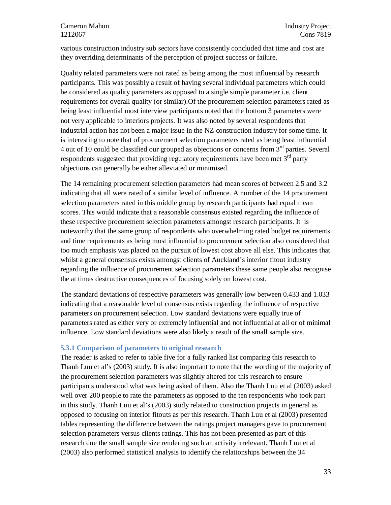various construction industry sub sectors have consistently concluded that time and cost are they overriding determinants of the perception of project success or failure.

Quality related parameters were not rated as being among the most influential by research participants. This was possibly a result of having several individual parameters which could be considered as quality parameters as opposed to a single simple parameter i.e. client requirements for overall quality (or similar).Of the procurement selection parameters rated as being least influential most interview participants noted that the bottom 3 parameters were not very applicable to interiors projects. It was also noted by several respondents that industrial action has not been a major issue in the NZ construction industry for some time. It is interesting to note that of procurement selection parameters rated as being least influential  $4$  out of 10 could be classified our grouped as objections or concerns from  $3<sup>rd</sup>$  parties. Several respondents suggested that providing regulatory requirements have been met  $3<sup>rd</sup>$  party objections can generally be either alleviated or minimised.

The 14 remaining procurement selection parameters had mean scores of between 2.5 and 3.2 indicating that all were rated of a similar level of influence. A number of the 14 procurement selection parameters rated in this middle group by research participants had equal mean scores. This would indicate that a reasonable consensus existed regarding the influence of these respective procurement selection parameters amongst research participants. It is noteworthy that the same group of respondents who overwhelming rated budget requirements and time requirements as being most influential to procurement selection also considered that too much emphasis was placed on the pursuit of lowest cost above all else. This indicates that whilst a general consensus exists amongst clients of Auckland's interior fitout industry regarding the influence of procurement selection parameters these same people also recognise the at times destructive consequences of focusing solely on lowest cost.

The standard deviations of respective parameters was generally low between 0.433 and 1.033 indicating that a reasonable level of consensus exists regarding the influence of respective parameters on procurement selection. Low standard deviations were equally true of parameters rated as either very or extremely influential and not influential at all or of minimal influence. Low standard deviations were also likely a result of the small sample size.

#### **5.3.1 Comparison of parameters to original research**

The reader is asked to refer to table five for a fully ranked list comparing this research to Thanh Luu et al's (2003) study. It is also important to note that the wording of the majority of the procurement selection parameters was slightly altered for this research to ensure participants understood what was being asked of them. Also the Thanh Luu et al (2003) asked well over 200 people to rate the parameters as opposed to the ten respondents who took part in this study. Thanh Luu et al's (2003) study related to construction projects in general as opposed to focusing on interior fitouts as per this research. Thanh Luu et al (2003) presented tables representing the difference between the ratings project managers gave to procurement selection parameters versus clients ratings. This has not been presented as part of this research due the small sample size rendering such an activity irrelevant. Thanh Luu et al (2003) also performed statistical analysis to identify the relationships between the 34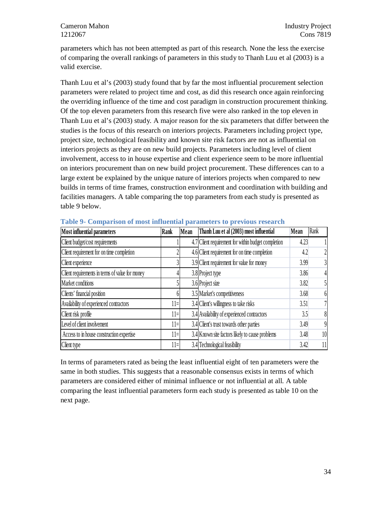parameters which has not been attempted as part of this research. None the less the exercise of comparing the overall rankings of parameters in this study to Thanh Luu et al (2003) is a valid exercise.

Thanh Luu et al's (2003) study found that by far the most influential procurement selection parameters were related to project time and cost, as did this research once again reinforcing the overriding influence of the time and cost paradigm in construction procurement thinking. Of the top eleven parameters from this research five were also ranked in the top eleven in Thanh Luu et al's (2003) study. A major reason for the six parameters that differ between the studies is the focus of this research on interiors projects. Parameters including project type, project size, technological feasibility and known site risk factors are not as influential on interiors projects as they are on new build projects. Parameters including level of client involvement, access to in house expertise and client experience seem to be more influential on interiors procurement than on new build project procurement. These differences can to a large extent be explained by the unique nature of interiors projects when compared to new builds in terms of time frames, construction environment and coordination with building and facilities managers. A table comparing the top parameters from each study is presented as table 9 below.

| <b>Most influential parameters</b>              | Rank  | Mean | Thanh Luu et al (2003) most influential             | Mean | Rank |
|-------------------------------------------------|-------|------|-----------------------------------------------------|------|------|
| Client budget/cost requirements                 |       |      | 4.7 Client requirement for within budget completion | 4.23 |      |
| Client requirement for on time completion       |       |      | 4.6 Client requirement for on time completion       | 4.2  |      |
| Client experience                               |       |      | 3.9 Client requirement for value for money          | 3.99 |      |
| Client requirements in terms of value for money |       |      | 3.8 Project type                                    | 3.86 |      |
| Market conditions                               |       |      | 3.6 Project size                                    | 3.82 |      |
| Clients' financial position                     |       |      | 3.5 Market's competitiveness                        | 3.68 | 6    |
| Availability of experienced contractors         | $11=$ |      | 3.4 Client's willingness to take risks              | 3.51 |      |
| Client risk profile                             | $11=$ |      | 3.4 Availability of experienced contractors         | 3.5  | 8    |
| Level of client involvement                     | $11=$ |      | 3.4 Client's trust towards other parties            | 3.49 | 9    |
| Access to in house construction expertise       | $11=$ |      | 3.4 Known site factors likely to cause problems     | 3.48 | 10   |
| Client type                                     | $11=$ |      | 3.4 Technological feasibility                       | 3.42 | 11   |

**Table 9- Comparison of most influential parameters to previous research** 

In terms of parameters rated as being the least influential eight of ten parameters were the same in both studies. This suggests that a reasonable consensus exists in terms of which parameters are considered either of minimal influence or not influential at all. A table comparing the least influential parameters form each study is presented as table 10 on the next page.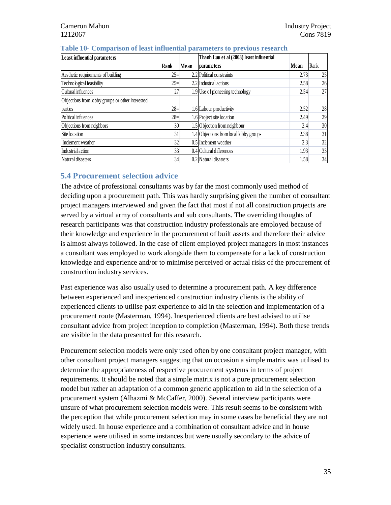| Least influential parameters                     |                 |      | Thanh Luu et al (2003) least influential |      |                 |
|--------------------------------------------------|-----------------|------|------------------------------------------|------|-----------------|
|                                                  | Rank            | Mean | parameters                               | Mean | Rank            |
| Aesthetic requirements of building               | $25=$           |      | 2.2 Political constraints                | 2.73 | 25              |
| Technological feasibility                        | $25=$           |      | 2.2 Industrial actions                   | 2.58 | 26              |
| Cultural influences                              | 27              |      | 1.9 Use of pioneering technology         | 2.54 | 27              |
| Objections from lobby groups or other interested |                 |      |                                          |      |                 |
| parties                                          | $28=$           |      | 1.6 Labour productivity                  | 2.52 | 28              |
| Political influences                             | $28=$           |      | 1.6 Project site location                | 2.49 | 29              |
| Objections from neighbors                        | 30 <sup>l</sup> |      | 1.5 Objection from neighbour             | 2.4  | 30 <sup>°</sup> |
| Site location                                    | 31              |      | 1.4 Objections from local lobby groups   | 2.38 | 31              |
| Inclement weather                                | 32              |      | 0.5 Inclement weather                    | 2.3  | 32              |
| Industrial action                                | 33              |      | 0.4 Cultural differences                 | 1.93 | 33              |
| Natural disasters                                | 34              |      | 0.2 Natural disasters                    | 1.58 | 34              |

#### **Table 10- Comparison of least influential parameters to previous research**

#### **5.4 Procurement selection advice**

The advice of professional consultants was by far the most commonly used method of deciding upon a procurement path. This was hardly surprising given the number of consultant project managers interviewed and given the fact that most if not all construction projects are served by a virtual army of consultants and sub consultants. The overriding thoughts of research participants was that construction industry professionals are employed because of their knowledge and experience in the procurement of built assets and therefore their advice is almost always followed. In the case of client employed project managers in most instances a consultant was employed to work alongside them to compensate for a lack of construction knowledge and experience and/or to minimise perceived or actual risks of the procurement of construction industry services.

Past experience was also usually used to determine a procurement path. A key difference between experienced and inexperienced construction industry clients is the ability of experienced clients to utilise past experience to aid in the selection and implementation of a procurement route (Masterman, 1994). Inexperienced clients are best advised to utilise consultant advice from project inception to completion (Masterman, 1994). Both these trends are visible in the data presented for this research.

Procurement selection models were only used often by one consultant project manager, with other consultant project managers suggesting that on occasion a simple matrix was utilised to determine the appropriateness of respective procurement systems in terms of project requirements. It should be noted that a simple matrix is not a pure procurement selection model but rather an adaptation of a common generic application to aid in the selection of a procurement system (Alhazmi & McCaffer, 2000). Several interview participants were unsure of what procurement selection models were. This result seems to be consistent with the perception that while procurement selection may in some cases be beneficial they are not widely used. In house experience and a combination of consultant advice and in house experience were utilised in some instances but were usually secondary to the advice of specialist construction industry consultants.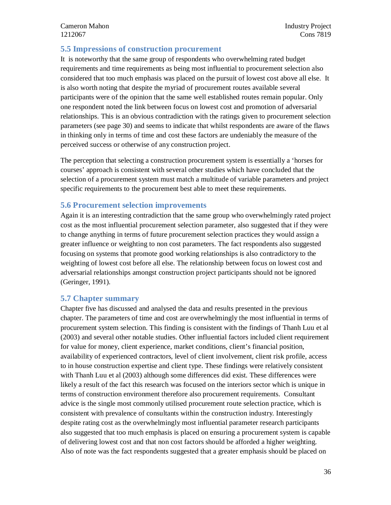#### **5.5 Impressions of construction procurement**

It is noteworthy that the same group of respondents who overwhelming rated budget requirements and time requirements as being most influential to procurement selection also considered that too much emphasis was placed on the pursuit of lowest cost above all else. It is also worth noting that despite the myriad of procurement routes available several participants were of the opinion that the same well established routes remain popular. Only one respondent noted the link between focus on lowest cost and promotion of adversarial relationships. This is an obvious contradiction with the ratings given to procurement selection parameters (see page 30) and seems to indicate that whilst respondents are aware of the flaws in thinking only in terms of time and cost these factors are undeniably the measure of the perceived success or otherwise of any construction project.

The perception that selecting a construction procurement system is essentially a 'horses for courses' approach is consistent with several other studies which have concluded that the selection of a procurement system must match a multitude of variable parameters and project specific requirements to the procurement best able to meet these requirements.

#### **5.6 Procurement selection improvements**

Again it is an interesting contradiction that the same group who overwhelmingly rated project cost as the most influential procurement selection parameter, also suggested that if they were to change anything in terms of future procurement selection practices they would assign a greater influence or weighting to non cost parameters. The fact respondents also suggested focusing on systems that promote good working relationships is also contradictory to the weighting of lowest cost before all else. The relationship between focus on lowest cost and adversarial relationships amongst construction project participants should not be ignored (Geringer, 1991).

#### **5.7 Chapter summary**

Chapter five has discussed and analysed the data and results presented in the previous chapter. The parameters of time and cost are overwhelmingly the most influential in terms of procurement system selection. This finding is consistent with the findings of Thanh Luu et al (2003) and several other notable studies. Other influential factors included client requirement for value for money, client experience, market conditions, client's financial position, availability of experienced contractors, level of client involvement, client risk profile, access to in house construction expertise and client type. These findings were relatively consistent with Thanh Luu et al (2003) although some differences did exist. These differences were likely a result of the fact this research was focused on the interiors sector which is unique in terms of construction environment therefore also procurement requirements. Consultant advice is the single most commonly utilised procurement route selection practice, which is consistent with prevalence of consultants within the construction industry. Interestingly despite rating cost as the overwhelmingly most influential parameter research participants also suggested that too much emphasis is placed on ensuring a procurement system is capable of delivering lowest cost and that non cost factors should be afforded a higher weighting. Also of note was the fact respondents suggested that a greater emphasis should be placed on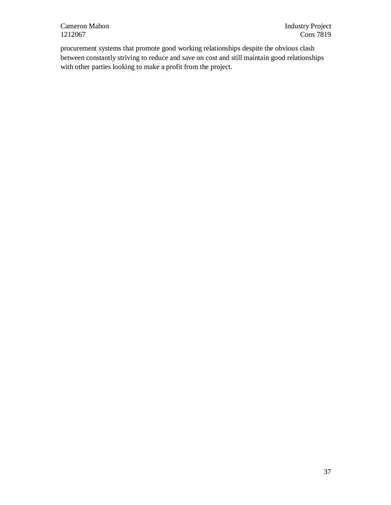procurement systems that promote good working relationships despite the obvious clash between constantly striving to reduce and save on cost and still maintain good relationships with other parties looking to make a profit from the project.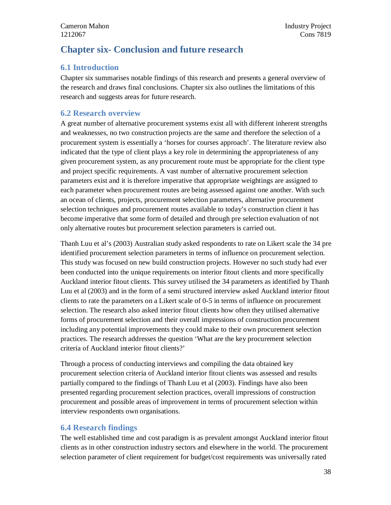# **Chapter six- Conclusion and future research**

#### **6.1 Introduction**

Chapter six summarises notable findings of this research and presents a general overview of the research and draws final conclusions. Chapter six also outlines the limitations of this research and suggests areas for future research.

#### **6.2 Research overview**

A great number of alternative procurement systems exist all with different inherent strengths and weaknesses, no two construction projects are the same and therefore the selection of a procurement system is essentially a 'horses for courses approach'. The literature review also indicated that the type of client plays a key role in determining the appropriateness of any given procurement system, as any procurement route must be appropriate for the client type and project specific requirements. A vast number of alternative procurement selection parameters exist and it is therefore imperative that appropriate weightings are assigned to each parameter when procurement routes are being assessed against one another. With such an ocean of clients, projects, procurement selection parameters, alternative procurement selection techniques and procurement routes available to today's construction client it has become imperative that some form of detailed and through pre selection evaluation of not only alternative routes but procurement selection parameters is carried out.

Thanh Luu et al's (2003) Australian study asked respondents to rate on Likert scale the 34 pre identified procurement selection parameters in terms of influence on procurement selection. This study was focused on new build construction projects. However no such study had ever been conducted into the unique requirements on interior fitout clients and more specifically Auckland interior fitout clients. This survey utilised the 34 parameters as identified by Thanh Luu et al (2003) and in the form of a semi structured interview asked Auckland interior fitout clients to rate the parameters on a Likert scale of 0-5 in terms of influence on procurement selection. The research also asked interior fitout clients how often they utilised alternative forms of procurement selection and their overall impressions of construction procurement including any potential improvements they could make to their own procurement selection practices. The research addresses the question 'What are the key procurement selection criteria of Auckland interior fitout clients?'

Through a process of conducting interviews and compiling the data obtained key procurement selection criteria of Auckland interior fitout clients was assessed and results partially compared to the findings of Thanh Luu et al (2003). Findings have also been presented regarding procurement selection practices, overall impressions of construction procurement and possible areas of improvement in terms of procurement selection within interview respondents own organisations.

#### **6.4 Research findings**

The well established time and cost paradigm is as prevalent amongst Auckland interior fitout clients as in other construction industry sectors and elsewhere in the world. The procurement selection parameter of client requirement for budget/cost requirements was universally rated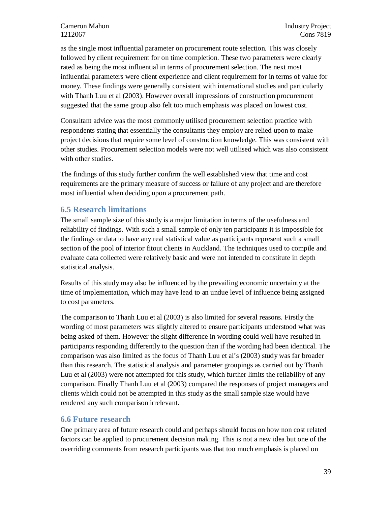as the single most influential parameter on procurement route selection. This was closely followed by client requirement for on time completion. These two parameters were clearly rated as being the most influential in terms of procurement selection. The next most influential parameters were client experience and client requirement for in terms of value for money. These findings were generally consistent with international studies and particularly with Thanh Luu et al (2003). However overall impressions of construction procurement suggested that the same group also felt too much emphasis was placed on lowest cost.

Consultant advice was the most commonly utilised procurement selection practice with respondents stating that essentially the consultants they employ are relied upon to make project decisions that require some level of construction knowledge. This was consistent with other studies. Procurement selection models were not well utilised which was also consistent with other studies.

The findings of this study further confirm the well established view that time and cost requirements are the primary measure of success or failure of any project and are therefore most influential when deciding upon a procurement path.

#### **6.5 Research limitations**

The small sample size of this study is a major limitation in terms of the usefulness and reliability of findings. With such a small sample of only ten participants it is impossible for the findings or data to have any real statistical value as participants represent such a small section of the pool of interior fitout clients in Auckland. The techniques used to compile and evaluate data collected were relatively basic and were not intended to constitute in depth statistical analysis.

Results of this study may also be influenced by the prevailing economic uncertainty at the time of implementation, which may have lead to an undue level of influence being assigned to cost parameters.

The comparison to Thanh Luu et al (2003) is also limited for several reasons. Firstly the wording of most parameters was slightly altered to ensure participants understood what was being asked of them. However the slight difference in wording could well have resulted in participants responding differently to the question than if the wording had been identical. The comparison was also limited as the focus of Thanh Luu et al's (2003) study was far broader than this research. The statistical analysis and parameter groupings as carried out by Thanh Luu et al (2003) were not attempted for this study, which further limits the reliability of any comparison. Finally Thanh Luu et al (2003) compared the responses of project managers and clients which could not be attempted in this study as the small sample size would have rendered any such comparison irrelevant.

#### **6.6 Future research**

One primary area of future research could and perhaps should focus on how non cost related factors can be applied to procurement decision making. This is not a new idea but one of the overriding comments from research participants was that too much emphasis is placed on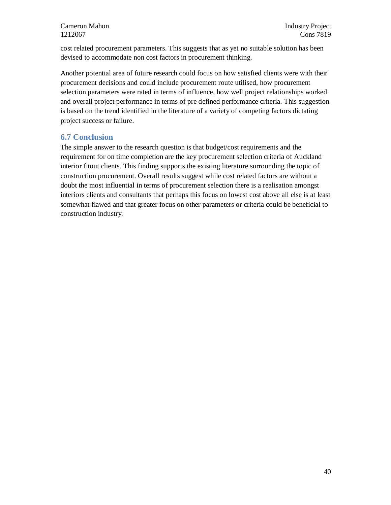Cameron Mahon Industry Project 1212067 Cons 7819

cost related procurement parameters. This suggests that as yet no suitable solution has been devised to accommodate non cost factors in procurement thinking.

Another potential area of future research could focus on how satisfied clients were with their procurement decisions and could include procurement route utilised, how procurement selection parameters were rated in terms of influence, how well project relationships worked and overall project performance in terms of pre defined performance criteria. This suggestion is based on the trend identified in the literature of a variety of competing factors dictating project success or failure.

#### **6.7 Conclusion**

The simple answer to the research question is that budget/cost requirements and the requirement for on time completion are the key procurement selection criteria of Auckland interior fitout clients. This finding supports the existing literature surrounding the topic of construction procurement. Overall results suggest while cost related factors are without a doubt the most influential in terms of procurement selection there is a realisation amongst interiors clients and consultants that perhaps this focus on lowest cost above all else is at least somewhat flawed and that greater focus on other parameters or criteria could be beneficial to construction industry.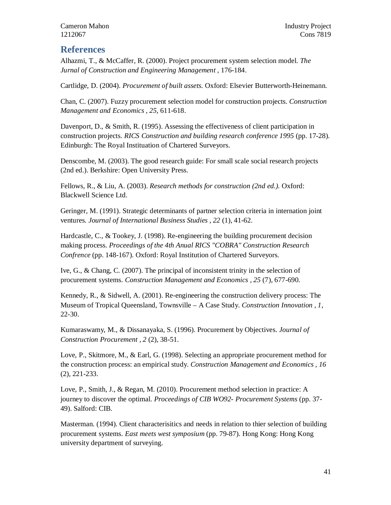Cameron Mahon Industry Project 1212067 Cons 7819

# **References**

Alhazmi, T., & McCaffer, R. (2000). Project procurement system selection model. *The Jurnal of Construction and Engineering Management* , 176-184.

Cartlidge, D. (2004). *Procurement of built assets.* Oxford: Elsevier Butterworth-Heinemann.

Chan, C. (2007). Fuzzy procurement selection model for construction projects. *Construction Management and Economics , 25*, 611-618.

Davenport, D., & Smith, R. (1995). Assessing the effectiveness of client participation in construction projects. *RICS Construction and building research conference 1995* (pp. 17-28). Edinburgh: The Royal Instituation of Chartered Surveyors.

Denscombe, M. (2003). The good research guide: For small scale social research projects (2nd ed.). Berkshire: Open University Press.

Fellows, R., & Liu, A. (2003). *Research methods for construction (2nd ed.).* Oxford: Blackwell Science Ltd.

Geringer, M. (1991). Strategic determinants of partner selection criteria in internation joint ventures. *Journal of International Business Studies , 22* (1), 41-62.

Hardcastle, C., & Tookey, J. (1998). Re-engineering the building procurement decision making process. *Proceedings of the 4th Anual RICS "COBRA" Construction Research Confrence* (pp. 148-167). Oxford: Royal Institution of Chartered Surveyors.

Ive, G., & Chang, C. (2007). The principal of inconsistent trinity in the selection of procurement systems. *Construction Management and Economics , 25* (7), 677-690.

Kennedy, R., & Sidwell, A. (2001). Re-engineering the construction delivery process: The Museum of Tropical Queensland, Townsville – A Case Study. *Construction Innovation , 1*, 22-30.

Kumaraswamy, M., & Dissanayaka, S. (1996). Procurement by Objectives. *Journal of Construction Procurement , 2* (2), 38-51.

Love, P., Skitmore, M., & Earl, G. (1998). Selecting an appropriate procurement method for the construction process: an empirical study. *Construction Management and Economics , 16* (2), 221-233.

Love, P., Smith, J., & Regan, M. (2010). Procurement method selection in practice: A journey to discover the optimal. *Proceedings of CIB WO92- Procurement Systems* (pp. 37- 49). Salford: CIB.

Masterman. (1994). Client characterisitics and needs in relation to thier selection of building procurement systems. *East meets west symposium* (pp. 79-87). Hong Kong: Hong Kong university department of surveying.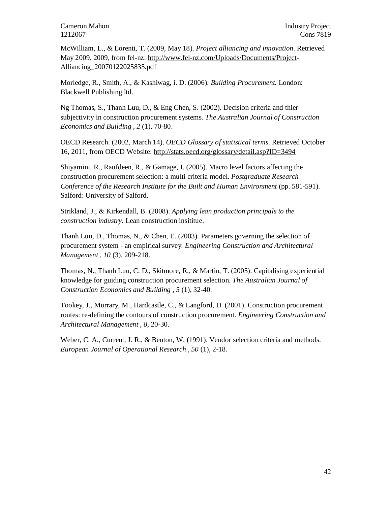Cameron Mahon **Industry Project Cameron Mahon** 1212067 Cons 7819

McWilliam, L., & Lorenti, T. (2009, May 18). *Project alliancing and innovation.* Retrieved May 2009, 2009, from fel-nz: <http://www.fel-nz.com/Uploads/Documents/Project>-Alliancing\_20070122025835.pdf

Morledge, R., Smith, A., & Kashiwag, i. D. (2006). *Building Procurement.* London: Blackwell Publishing ltd.

Ng Thomas, S., Thanh Luu, D., & Eng Chen, S. (2002). Decision criteria and thier subjectivity in construction procurement systems. *The Australian Journal of Construction Economics and Building , 2* (1), 70-80.

OECD Research. (2002, March 14). *OECD Glossary of statistical terms*. Retrieved October 16, 2011, from OECD Website: <http://stats.oecd.org/glossary/detail.asp?ID=3494>

Shiyamini, R., Raufdeen, R., & Gamage, I. (2005). Macro level factors affecting the construction procurement selection: a multi criteria model. *Postgraduate Research Conference of the Research Institute for the Built and Human Environment* (pp. 581-591). Salford: University of Salford.

Strikland, J., & Kirkendall, B. (2008). *Applying lean production principals to the construction industry.* Lean construction insititue.

Thanh Luu, D., Thomas, N., & Chen, E. (2003). Parameters governing the selection of procurement system - an empirical survey. *Engineering Construction and Architectural Management , 10* (3), 209-218.

Thomas, N., Thanh Luu, C. D., Skitmore, R., & Martin, T. (2005). Capitalising experiential knowledge for guiding construction procurement selection. *The Australian Journal of Construction Economics and Building , 5* (1), 32-40.

Tookey, J., Murrary, M., Hardcastle, C., & Langford, D. (2001). Construction procurement routes: re-defining the contours of construction procurement. *Engineering Construction and Architectural Management , 8*, 20-30.

Weber, C. A., Current, J. R., & Benton, W. (1991). Vendor selection criteria and methods. *European Journal of Operational Research , 50* (1), 2-18.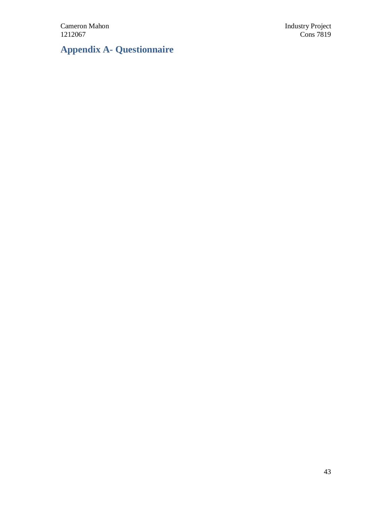# **Appendix A- Questionnaire**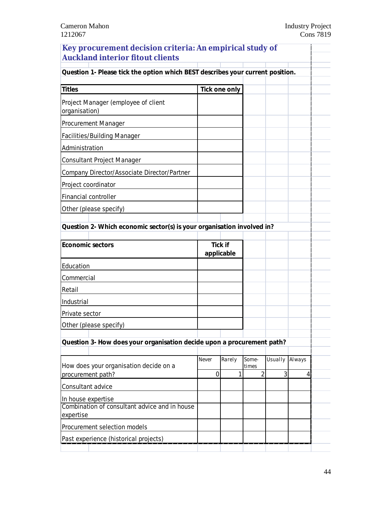| Key procurement decision criteria: An empirical study of<br><b>Auckland interior fitout clients</b> |                                  |                              |                                  |              |             |  |
|-----------------------------------------------------------------------------------------------------|----------------------------------|------------------------------|----------------------------------|--------------|-------------|--|
| Question 1- Please tick the option which BEST describes your current position.                      |                                  |                              |                                  |              |             |  |
| <b>Titles</b>                                                                                       |                                  | Tick one only                |                                  |              |             |  |
| Project Manager (employee of client<br>organisation)                                                |                                  |                              |                                  |              |             |  |
| <b>Procurement Manager</b>                                                                          |                                  |                              |                                  |              |             |  |
| <b>Facilities/Building Manager</b>                                                                  |                                  |                              |                                  |              |             |  |
| Administration                                                                                      |                                  |                              |                                  |              |             |  |
| <b>Consultant Project Manager</b>                                                                   |                                  |                              |                                  |              |             |  |
| Company Director/Associate Director/Partner                                                         |                                  |                              |                                  |              |             |  |
| Project coordinator                                                                                 |                                  |                              |                                  |              |             |  |
| <b>Financial controller</b>                                                                         |                                  |                              |                                  |              |             |  |
| Other (please specify)                                                                              |                                  |                              |                                  |              |             |  |
| Question 2- Which economic sector(s) is your organisation involved in?                              |                                  |                              |                                  |              |             |  |
| Economic sectors                                                                                    |                                  | <b>Tick if</b><br>applicable |                                  |              |             |  |
| Education                                                                                           |                                  |                              |                                  |              |             |  |
| Commercial                                                                                          |                                  |                              |                                  |              |             |  |
| Retail                                                                                              |                                  |                              |                                  |              |             |  |
| Industrial                                                                                          |                                  |                              |                                  |              |             |  |
| Private sector                                                                                      |                                  |                              |                                  |              |             |  |
| Other (please specify)                                                                              |                                  |                              |                                  |              |             |  |
| Question 3- How does your organisation decide upon a procurement path?                              |                                  |                              |                                  |              |             |  |
| How does your organisation decide on a<br>procurement path?                                         | <b>Never</b><br>$\boldsymbol{0}$ | Rarely<br>1                  | Some-<br>times<br>$\overline{c}$ | Usually<br>3 | Always<br>4 |  |
| Consultant advice                                                                                   |                                  |                              |                                  |              |             |  |
| In house expertise<br>Combination of consultant advice and in house<br>expertise                    |                                  |                              |                                  |              |             |  |
| Procurement selection models                                                                        |                                  |                              |                                  |              |             |  |
| Past experience (historical projects)                                                               |                                  |                              |                                  |              |             |  |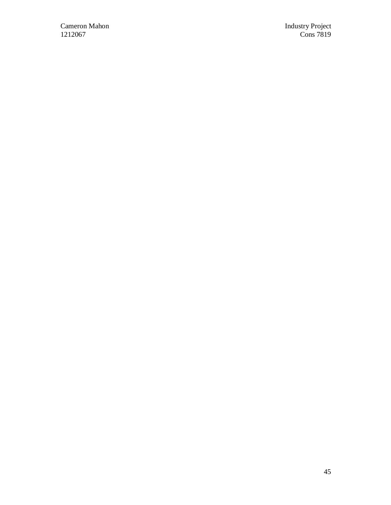Cameron Mahon Industry Project 1212067 Cons 7819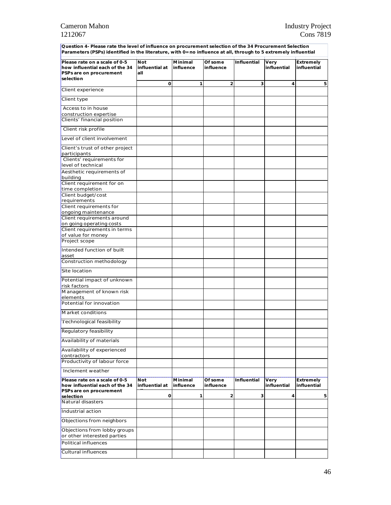#### Cameron Mahon Industry Project 1212067 Cons 7819

**Question 4- Please rate the level of influence on procurement selection of the 34 Procurement Selection Parameters (PSPs) identified in the literature, with 0= no influence at all, through to 5 extremely influential**

| Please rate on a scale of 0-5<br>how influential each of the 34<br>PSPs are on procurement<br>selection | Not<br>influential at<br>all | Minimal<br>influence | Of some<br>influence | Influential | Very<br>influential | Extremely<br>influential |
|---------------------------------------------------------------------------------------------------------|------------------------------|----------------------|----------------------|-------------|---------------------|--------------------------|
|                                                                                                         | 0                            | $\mathbf{1}$         | $\overline{2}$       | 3           | 4                   | 5                        |
| Client experience                                                                                       |                              |                      |                      |             |                     |                          |
|                                                                                                         |                              |                      |                      |             |                     |                          |
| <b>Client type</b>                                                                                      |                              |                      |                      |             |                     |                          |
| Access to in house<br>construction expertise                                                            |                              |                      |                      |             |                     |                          |
| Clients' financial position                                                                             |                              |                      |                      |             |                     |                          |
|                                                                                                         |                              |                      |                      |             |                     |                          |
| Client risk profile                                                                                     |                              |                      |                      |             |                     |                          |
| Level of client involvement                                                                             |                              |                      |                      |             |                     |                          |
| Client's trust of other project                                                                         |                              |                      |                      |             |                     |                          |
| participants                                                                                            |                              |                      |                      |             |                     |                          |
| Clients' requirements for                                                                               |                              |                      |                      |             |                     |                          |
| level of technical                                                                                      |                              |                      |                      |             |                     |                          |
| Aesthetic requirements of                                                                               |                              |                      |                      |             |                     |                          |
| building                                                                                                |                              |                      |                      |             |                     |                          |
| Client requirement for on<br>time completion                                                            |                              |                      |                      |             |                     |                          |
| Client budget/cost                                                                                      |                              |                      |                      |             |                     |                          |
| requirements                                                                                            |                              |                      |                      |             |                     |                          |
| Client requirements for                                                                                 |                              |                      |                      |             |                     |                          |
| ongoing maintenance                                                                                     |                              |                      |                      |             |                     |                          |
| Client requirements around                                                                              |                              |                      |                      |             |                     |                          |
| on going operating costs                                                                                |                              |                      |                      |             |                     |                          |
| Client requirements in terms                                                                            |                              |                      |                      |             |                     |                          |
| of value for money                                                                                      |                              |                      |                      |             |                     |                          |
| Project scope                                                                                           |                              |                      |                      |             |                     |                          |
| Intended function of built                                                                              |                              |                      |                      |             |                     |                          |
| asset                                                                                                   |                              |                      |                      |             |                     |                          |
| Construction methodology                                                                                |                              |                      |                      |             |                     |                          |
| Site location                                                                                           |                              |                      |                      |             |                     |                          |
| Potential impact of unknown<br>risk factors                                                             |                              |                      |                      |             |                     |                          |
| Management of known risk                                                                                |                              |                      |                      |             |                     |                          |
| elements<br>Potential for innovation                                                                    |                              |                      |                      |             |                     |                          |
| <b>Market conditions</b>                                                                                |                              |                      |                      |             |                     |                          |
|                                                                                                         |                              |                      |                      |             |                     |                          |
| <b>Technological feasibility</b>                                                                        |                              |                      |                      |             |                     |                          |
| <b>Regulatory feasibility</b>                                                                           |                              |                      |                      |             |                     |                          |
| Availability of materials                                                                               |                              |                      |                      |             |                     |                          |
| Availability of experienced<br>contractors                                                              |                              |                      |                      |             |                     |                          |
| Productivity of labour force                                                                            |                              |                      |                      |             |                     |                          |
| Inclement weather                                                                                       |                              |                      |                      |             |                     |                          |
| Please rate on a scale of 0-5                                                                           | Not                          | Minimal              | Of some              | Influential | Very                | Extremely                |
| how influential each of the 34                                                                          | influential at               | influence            | influence            |             | influential         | influential              |
| PSPs are on procurement                                                                                 |                              |                      |                      |             |                     |                          |
| selection<br><b>Natural disasters</b>                                                                   | 0                            | 1                    | $\overline{2}$       | 3           | 4                   | 5 <sub>l</sub>           |
|                                                                                                         |                              |                      |                      |             |                     |                          |
| Industrial action                                                                                       |                              |                      |                      |             |                     |                          |
| Objections from neighbors                                                                               |                              |                      |                      |             |                     |                          |
| Objections from lobby groups<br>or other interested parties                                             |                              |                      |                      |             |                     |                          |
| <b>Political influences</b>                                                                             |                              |                      |                      |             |                     |                          |
|                                                                                                         |                              |                      |                      |             |                     |                          |
| <b>Cultural influences</b>                                                                              |                              |                      |                      |             |                     |                          |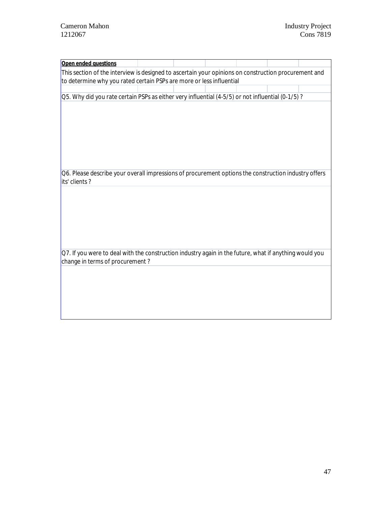| Open ended questions                                                                                                  |  |  |  |
|-----------------------------------------------------------------------------------------------------------------------|--|--|--|
| This section of the interview is designed to ascertain your opinions on construction procurement and                  |  |  |  |
| to determine why you rated certain PSPs are more or less influential                                                  |  |  |  |
|                                                                                                                       |  |  |  |
| Q5. Why did you rate certain PSPs as either very influential (4-5/5) or not influential (0-1/5)?                      |  |  |  |
|                                                                                                                       |  |  |  |
|                                                                                                                       |  |  |  |
|                                                                                                                       |  |  |  |
|                                                                                                                       |  |  |  |
|                                                                                                                       |  |  |  |
|                                                                                                                       |  |  |  |
|                                                                                                                       |  |  |  |
|                                                                                                                       |  |  |  |
| Q6. Please describe your overall impressions of procurement options the construction industry offers<br>its' clients? |  |  |  |
|                                                                                                                       |  |  |  |
|                                                                                                                       |  |  |  |
|                                                                                                                       |  |  |  |
|                                                                                                                       |  |  |  |
|                                                                                                                       |  |  |  |
|                                                                                                                       |  |  |  |
|                                                                                                                       |  |  |  |
|                                                                                                                       |  |  |  |
|                                                                                                                       |  |  |  |